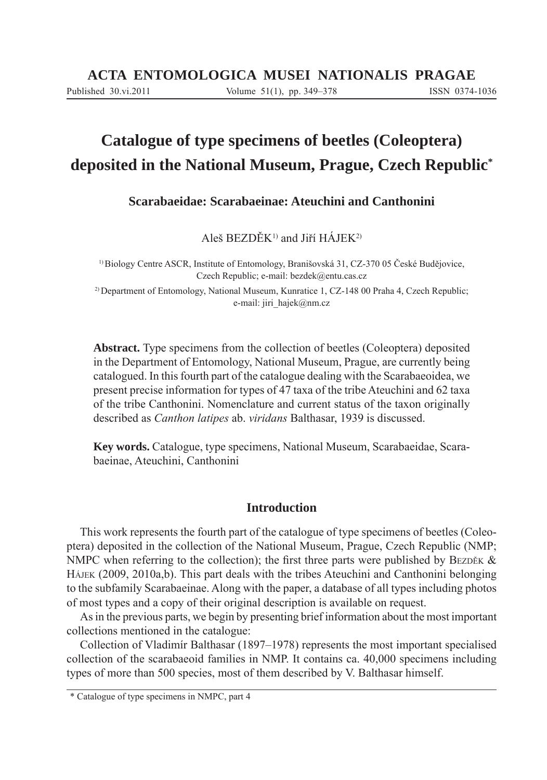# **Catalogue of type specimens of beetles (Coleoptera) deposited in the National Museum, Prague, Czech Republic\***

**Scarabaeidae: Scarabaeinae: Ateuchini and Canthonini**

Aleš BEZDĚK1) and Jiří HÁJEK2)

1) Biology Centre ASCR, Institute of Entomology, Branišovská 31, CZ-370 05 České Budějovice, Czech Republic; e-mail: bezdek@entu.cas.cz

2) Department of Entomology, National Museum, Kunratice 1, CZ-148 00 Praha 4, Czech Republic; e-mail: jiri\_hajek@nm.cz

**Abstract.** Type specimens from the collection of beetles (Coleoptera) deposited in the Department of Entomology, National Museum, Prague, are currently being catalogued. In this fourth part of the catalogue dealing with the Scarabaeoidea, we present precise information for types of 47 taxa of the tribe Ateuchini and 62 taxa of the tribe Canthonini. Nomenclature and current status of the taxon originally described as *Canthon latipes* ab. *viridans* Balthasar, 1939 is discussed.

**Key words.** Catalogue, type specimens, National Museum, Scarabaeidae, Scarabaeinae, Ateuchini, Canthonini

# **Introduction**

This work represents the fourth part of the catalogue of type specimens of beetles (Coleoptera) deposited in the collection of the National Museum, Prague, Czech Republic (NMP; NMPC when referring to the collection); the first three parts were published by BEZDĚK  $\&$ HÁJEK (2009, 2010a,b). This part deals with the tribes Ateuchini and Canthonini belonging to the subfamily Scarabaeinae. Along with the paper, a database of all types including photos of most types and a copy of their original description is available on request.

As in the previous parts, we begin by presenting brief information about the most important collections mentioned in the catalogue:

Collection of Vladimír Balthasar (1897–1978) represents the most important specialised collection of the scarabaeoid families in NMP. It contains ca. 40,000 specimens including types of more than 500 species, most of them described by V. Balthasar himself.

<sup>\*</sup> Catalogue of type specimens in NMPC, part 4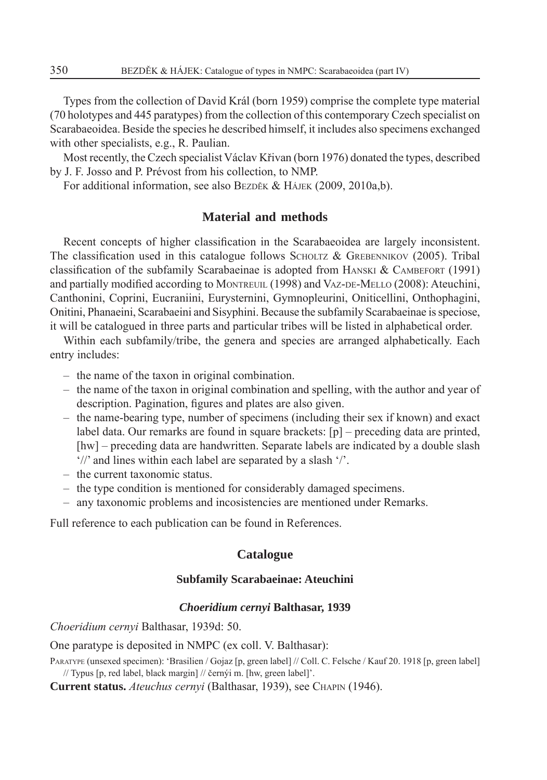Types from the collection of David Král (born 1959) comprise the complete type material (70 holotypes and 445 paratypes) from the collection of this contemporary Czech specialist on Scarabaeoidea. Beside the species he described himself, it includes also specimens exchanged with other specialists, e.g., R. Paulian.

Most recently, the Czech specialist Václav Křivan (born 1976) donated the types, described by J. F. Josso and P. Prévost from his collection, to NMP.

For additional information, see also BEZDĚK & HÁJEK (2009, 2010a,b).

# **Material and methods**

Recent concepts of higher classification in the Scarabaeoidea are largely inconsistent. The classification used in this catalogue follows SCHOLTZ & GREBENNIKOV (2005). Tribal classification of the subfamily Scarabaeinae is adopted from HANSKI  $&$  CAMBEFORT (1991) and partially modified according to MONTREUIL (1998) and VAZ-DE-MELLO (2008): Ateuchini, Canthonini, Coprini, Eucraniini, Eurysternini, Gymnopleurini, Oniticellini, Onthophagini, Onitini, Phanaeini, Scarabaeini and Sisyphini. Because the subfamily Scarabaeinae is speciose, it will be catalogued in three parts and particular tribes will be listed in alphabetical order.

Within each subfamily/tribe, the genera and species are arranged alphabetically. Each entry includes:

- the name of the taxon in original combination.
- the name of the taxon in original combination and spelling, with the author and year of description. Pagination, figures and plates are also given.
- the name-bearing type, number of specimens (including their sex if known) and exact label data. Our remarks are found in square brackets:  $[p]$  – preceding data are printed, [hw] – preceding data are handwritten. Separate labels are indicated by a double slash '//' and lines within each label are separated by a slash '/'.
- the current taxonomic status.
- the type condition is mentioned for considerably damaged specimens.
- any taxonomic problems and incosistencies are mentioned under Remarks.

Full reference to each publication can be found in References.

# **Catalogue**

# **Subfamily Scarabaeinae: Ateuchini**

# *Choeridium cernyi* **Balthasar, 1939**

*Choeridium cernyi* Balthasar, 1939d: 50.

One paratype is deposited in NMPC (ex coll. V. Balthasar):

PARATYPE (unsexed specimen): 'Brasilien / Gojaz [p, green label] // Coll. C. Felsche / Kauf 20. 1918 [p, green label] // Typus [p, red label, black margin] // černýi m. [hw, green label]'.

**Current status.** *Ateuchus cernyi* (Balthasar, 1939), see CHAPIN (1946).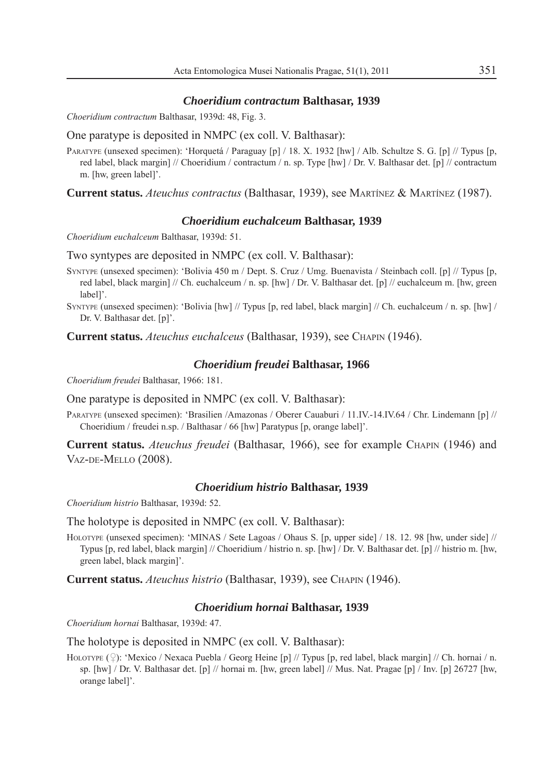#### *Choeridium contractum* **Balthasar, 1939**

*Choeridium contractum* Balthasar, 1939d: 48, Fig. 3.

One paratype is deposited in NMPC (ex coll. V. Balthasar):

PARATYPE (unsexed specimen): 'Horquetá / Paraguay [p] / 18. X. 1932 [hw] / Alb. Schultze S. G. [p] // Typus [p, red label, black margin] // Choeridium / contractum / n. sp. Type [hw] / Dr. V. Balthasar det. [p] // contractum m. [hw, green label]'.

**Current status.** *Ateuchus contractus* (Balthasar, 1939), see MARTÍNEZ & MARTÍNEZ (1987).

## *Choeridium euchalceum* **Balthasar, 1939**

*Choeridium euchalceum* Balthasar, 1939d: 51.

Two syntypes are deposited in NMPC (ex coll. V. Balthasar):

- SYNTYPE (unsexed specimen): 'Bolivia 450 m / Dept. S. Cruz / Umg. Buenavista / Steinbach coll. [p] // Typus [p, red label, black margin] // Ch. euchalceum / n. sp. [hw] / Dr. V. Balthasar det. [p] // euchalceum m. [hw, green label]'.
- SYNTYPE (unsexed specimen): 'Bolivia [hw] // Typus [p, red label, black margin] // Ch. euchalceum / n. sp. [hw] / Dr. V. Balthasar det. [p]'.

**Current status.** *Ateuchus euchalceus* (Balthasar, 1939), see CHAPIN (1946).

# *Choeridium freudei* **Balthasar, 1966**

*Choeridium freudei* Balthasar, 1966: 181.

One paratype is deposited in NMPC (ex coll. V. Balthasar):

PARATYPE (unsexed specimen): 'Brasilien /Amazonas / Oberer Cauaburi / 11.IV.-14.IV.64 / Chr. Lindemann [p] // Choeridium / freudei n.sp. / Balthasar / 66 [hw] Paratypus [p, orange label]'.

**Current status.** *Ateuchus freudei* (Balthasar, 1966), see for example CHAPIN (1946) and VAZ-DE-MELLO (2008).

# *Choeridium histrio* **Balthasar, 1939**

*Choeridium histrio* Balthasar, 1939d: 52.

The holotype is deposited in NMPC (ex coll. V. Balthasar):

HOLOTYPE (unsexed specimen): 'MINAS / Sete Lagoas / Ohaus S. [p, upper side] / 18. 12. 98 [hw, under side] // Typus [p, red label, black margin] // Choeridium / histrio n. sp. [hw] / Dr. V. Balthasar det. [p] // histrio m. [hw, green label, black margin]'.

**Current status.** *Ateuchus histrio* (Balthasar, 1939), see CHAPIN (1946).

# *Choeridium hornai* **Balthasar, 1939**

*Choeridium hornai* Balthasar, 1939d: 47.

The holotype is deposited in NMPC (ex coll. V. Balthasar):

HOLOTYPE (?): 'Mexico / Nexaca Puebla / Georg Heine [p] // Typus [p, red label, black margin] // Ch. hornai / n. sp. [hw] / Dr. V. Balthasar det. [p] // hornai m. [hw, green label] // Mus. Nat. Pragae [p] / Inv. [p] 26727 [hw, orange label]'.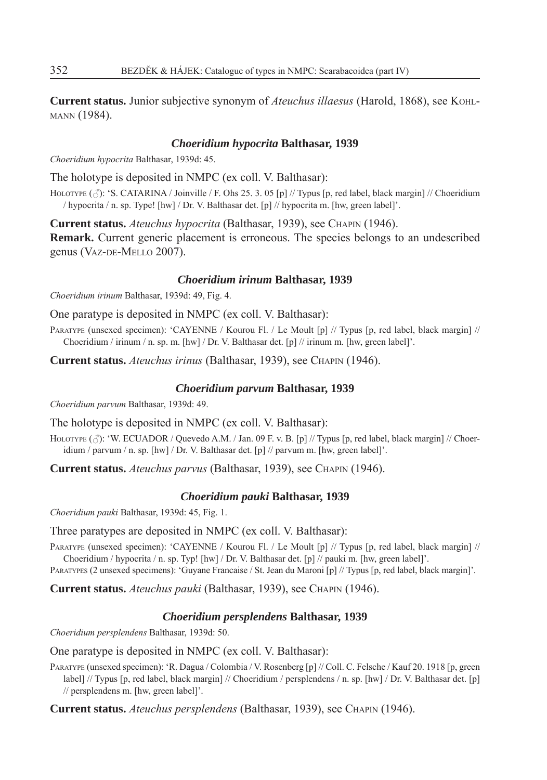**Current status.** Junior subjective synonym of *Ateuchus illaesus* (Harold, 1868), see KOHL-MANN (1984).

# *Choeridium hypocrita* **Balthasar, 1939**

*Choeridium hypocrita* Balthasar, 1939d: 45.

The holotype is deposited in NMPC (ex coll. V. Balthasar):

HOLOTYPE ( $\Diamond$ ): 'S. CATARINA / Joinville / F. Ohs 25. 3. 05 [p] // Typus [p, red label, black margin] // Choeridium / hypocrita / n. sp. Type! [hw] / Dr. V. Balthasar det. [p] // hypocrita m. [hw, green label]'.

**Current status.** *Ateuchus hypocrita* (Balthasar, 1939), see CHAPIN (1946).

**Remark.** Current generic placement is erroneous. The species belongs to an undescribed genus (VAZ-DE-MELLO 2007).

## *Choeridium irinum* **Balthasar, 1939**

*Choeridium irinum* Balthasar, 1939d: 49, Fig. 4.

One paratype is deposited in NMPC (ex coll. V. Balthasar):

PARATYPE (unsexed specimen): 'CAYENNE / Kourou Fl. / Le Moult [p] // Typus [p, red label, black margin] // Choeridium / irinum / n. sp. m. [hw] / Dr. V. Balthasar det. [p] // irinum m. [hw, green label]'.

**Current status.** *Ateuchus irinus* (Balthasar, 1939), see CHAPIN (1946).

# *Choeridium parvum* **Balthasar, 1939**

*Choeridium parvum* Balthasar, 1939d: 49.

The holotype is deposited in NMPC (ex coll. V. Balthasar):

HOLOTYPE  $(\text{?})$ : 'W. ECUADOR / Quevedo A.M. / Jan. 09 F. v. B. [p] // Typus [p, red label, black margin] // Choeridium / parvum / n. sp. [hw] / Dr. V. Balthasar det. [p] // parvum m. [hw, green label]'.

**Current status.** *Ateuchus parvus* (Balthasar, 1939), see CHAPIN (1946).

# *Choeridium pauki* **Balthasar, 1939**

*Choeridium pauki* Balthasar, 1939d: 45, Fig. 1.

Three paratypes are deposited in NMPC (ex coll. V. Balthasar):

PARATYPE (unsexed specimen): 'CAYENNE / Kourou Fl. / Le Moult [p] // Typus [p, red label, black margin] // Choeridium / hypocrita / n. sp. Typ! [hw] / Dr. V. Balthasar det. [p] // pauki m. [hw, green label]'.

PARATYPES (2 unsexed specimens): 'Guyane Francaise / St. Jean du Maroni [p] // Typus [p, red label, black margin]'.

**Current status.** *Ateuchus pauki* (Balthasar, 1939), see CHAPIN (1946).

# *Choeridium persplendens* **Balthasar, 1939**

*Choeridium persplendens* Balthasar, 1939d: 50.

# One paratype is deposited in NMPC (ex coll. V. Balthasar):

PARATYPE (unsexed specimen): 'R. Dagua / Colombia / V. Rosenberg [p] // Coll. C. Felsche / Kauf 20. 1918 [p, green label] // Typus [p, red label, black margin] // Choeridium / persplendens / n. sp. [hw] / Dr. V. Balthasar det. [p] // persplendens m. [hw, green label]'.

**Current status.** *Ateuchus persplendens* (Balthasar, 1939), see CHAPIN (1946).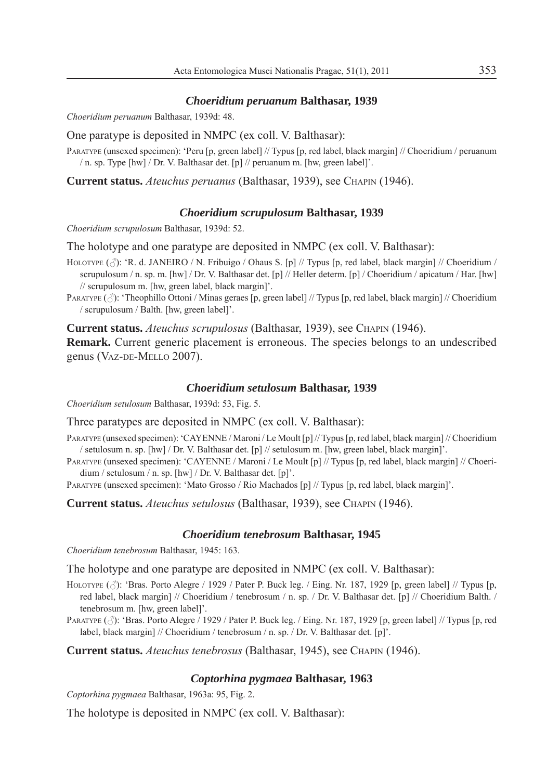#### *Choeridium peruanum* **Balthasar, 1939**

*Choeridium peruanum* Balthasar, 1939d: 48.

One paratype is deposited in NMPC (ex coll. V. Balthasar):

PARATYPE (unsexed specimen): 'Peru [p, green label] // Typus [p, red label, black margin] // Choeridium / peruanum / n. sp. Type [hw] / Dr. V. Balthasar det. [p] // peruanum m. [hw, green label]'.

**Current status.** *Ateuchus peruanus* (Balthasar, 1939), see CHAPIN (1946).

#### *Choeridium scrupulosum* **Balthasar, 1939**

*Choeridium scrupulosum* Balthasar, 1939d: 52.

The holotype and one paratype are deposited in NMPC (ex coll. V. Balthasar):

- HOLOTYPE ( $\triangle$ ): 'R. d. JANEIRO / N. Fribuigo / Ohaus S. [p] // Typus [p, red label, black margin] // Choeridium / scrupulosum / n. sp. m. [hw] / Dr. V. Balthasar det. [p] // Heller determ. [p] / Choeridium / apicatum / Har. [hw] // scrupulosum m. [hw, green label, black margin]'.
- PARATYPE  $(\text{A})$ : 'Theophillo Ottoni / Minas geraes [p, green label] // Typus [p, red label, black margin] // Choeridium / scrupulosum / Balth. [hw, green label]'.

**Current status.** *Ateuchus scrupulosus* (Balthasar, 1939), see CHAPIN (1946).

**Remark.** Current generic placement is erroneous. The species belongs to an undescribed genus (VAZ-DE-MELLO 2007).

#### *Choeridium setulosum* **Balthasar, 1939**

*Choeridium setulosum* Balthasar, 1939d: 53, Fig. 5.

Three paratypes are deposited in NMPC (ex coll. V. Balthasar):

- PARATYPE (unsexed specimen): 'CAYENNE / Maroni / Le Moult [p] // Typus [p, red label, black margin] // Choeridium / setulosum n. sp. [hw] / Dr. V. Balthasar det. [p] // setulosum m. [hw, green label, black margin]'.
- PARATYPE (unsexed specimen): 'CAYENNE / Maroni / Le Moult [p] // Typus [p, red label, black margin] // Choeridium / setulosum / n. sp. [hw] / Dr. V. Balthasar det. [p]'.
- PARATYPE (unsexed specimen): 'Mato Grosso / Rio Machados [p] // Typus [p, red label, black margin]'.

**Current status.** *Ateuchus setulosus* (Balthasar, 1939), see CHAPIN (1946).

# *Choeridium tenebrosum* **Balthasar, 1945**

*Choeridium tenebrosum* Balthasar, 1945: 163.

The holotype and one paratype are deposited in NMPC (ex coll. V. Balthasar):

- HOLOTYPE  $(\triangle)$ : 'Bras. Porto Alegre / 1929 / Pater P. Buck leg. / Eing. Nr. 187, 1929 [p, green label] // Typus [p, red label, black margin] // Choeridium / tenebrosum / n. sp. / Dr. V. Balthasar det. [p] // Choeridium Balth. / tenebrosum m. [hw, green label]'.
- PARATYPE  $(\hat{\beta})$ : 'Bras. Porto Alegre / 1929 / Pater P. Buck leg. / Eing. Nr. 187, 1929 [p, green label] // Typus [p, red label, black margin] // Choeridium / tenebrosum / n. sp. / Dr. V. Balthasar det. [p]'.

**Current status.** *Ateuchus tenebrosus* (Balthasar, 1945), see CHAPIN (1946).

# *Coptorhina pygmaea* **Balthasar, 1963**

*Coptorhina pygmaea* Balthasar, 1963a: 95, Fig. 2.

The holotype is deposited in NMPC (ex coll. V. Balthasar):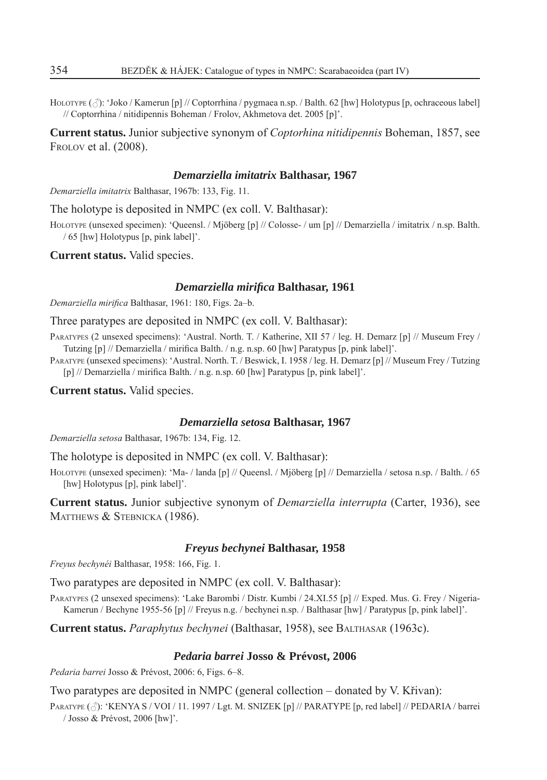HOLOTYPE  $(\triangle)$ : 'Joko / Kamerun [p] // Coptorrhina / pygmaea n.sp. / Balth. 62 [hw] Holotypus [p, ochraceous label] // Coptorrhina / nitidipennis Boheman / Frolov, Akhmetova det. 2005 [p]'.

**Current status.** Junior subjective synonym of *Coptorhina nitidipennis* Boheman, 1857, see FROLOV et al. (2008).

# *Demarziella imitatrix* **Balthasar, 1967**

*Demarziella imitatrix* Balthasar, 1967b: 133, Fig. 11.

The holotype is deposited in NMPC (ex coll. V. Balthasar):

HOLOTYPE (unsexed specimen): 'Queensl. / Mjöberg [p] // Colosse- / um [p] // Demarziella / imitatrix / n.sp. Balth. / 65 [hw] Holotypus [p, pink label]'.

**Current status.** Valid species.

# *Demarziella mirifi ca* **Balthasar, 1961**

*Demarziella mirifi ca* Balthasar, 1961: 180, Figs. 2a–b.

Three paratypes are deposited in NMPC (ex coll. V. Balthasar):

PARATYPES (2 unsexed specimens): 'Austral. North. T. / Katherine, XII 57 / leg. H. Demarz [p] // Museum Frey / Tutzing [p] // Demarziella / mirifica Balth. / n.g. n.sp. 60 [hw] Paratypus [p, pink label]'.

PARATYPE (unsexed specimens): 'Austral. North. T. / Beswick, I. 1958 / leg. H. Demarz [p] // Museum Frey / Tutzing [p] // Demarziella / mirifica Balth. / n.g. n.sp. 60 [hw] Paratypus [p, pink label]'.

**Current status.** Valid species.

#### *Demarziella setosa* **Balthasar, 1967**

*Demarziella setosa* Balthasar, 1967b: 134, Fig. 12.

The holotype is deposited in NMPC (ex coll. V. Balthasar):

HOLOTYPE (unsexed specimen): 'Ma- / landa [p] // Queensl. / Mjöberg [p] // Demarziella / setosa n.sp. / Balth. / 65 [hw] Holotypus [p], pink label]'.

**Current status.** Junior subjective synonym of *Demarziella interrupta* (Carter, 1936), see MATTHEWS & STEBNICKA (1986).

#### *Freyus bechynei* **Balthasar, 1958**

*Freyus bechynéi* Balthasar, 1958: 166, Fig. 1.

Two paratypes are deposited in NMPC (ex coll. V. Balthasar):

PARATYPES (2 unsexed specimens): 'Lake Barombi / Distr. Kumbi / 24.XI.55 [p] // Exped. Mus. G. Frey / Nigeria-Kamerun / Bechyne 1955-56 [p] // Freyus n.g. / bechynei n.sp. / Balthasar [hw] / Paratypus [p, pink label]'.

**Current status.** *Paraphytus bechynei* (Balthasar, 1958), see BALTHASAR (1963c).

# *Pedaria barrei* **Josso & Prévost, 2006**

*Pedaria barrei* Josso & Prévost, 2006: 6, Figs. 6–8.

Two paratypes are deposited in NMPC (general collection – donated by V. Křivan):

PARATYPE ( $\hat{\beta}$ ): 'KENYA S / VOI / 11. 1997 / Lgt. M. SNIZEK [p] // PARATYPE [p, red label] // PEDARIA / barrei / Josso & Prévost, 2006 [hw]'.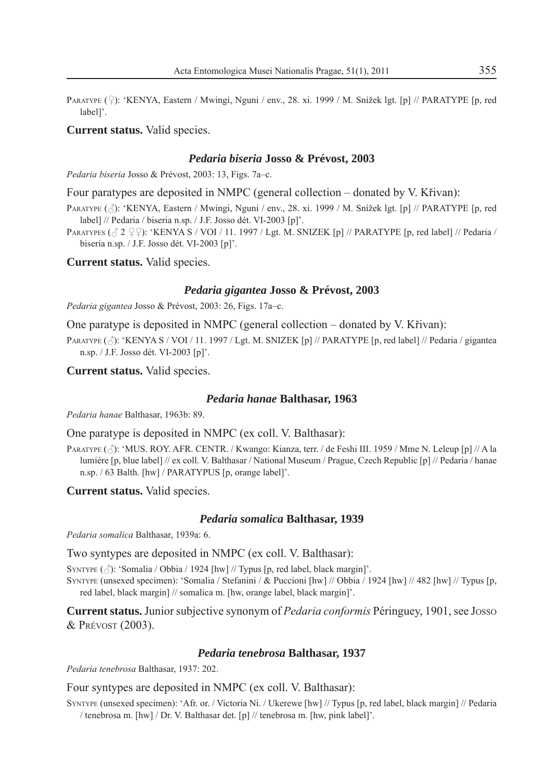PARATYPE (2): 'KENYA, Eastern / Mwingi, Nguni / env., 28. xi. 1999 / M. Snížek lgt. [p] // PARATYPE [p, red label]'.

# **Current status.** Valid species.

# *Pedaria biseria* **Josso & Prévost, 2003**

*Pedaria biseria* Josso & Prévost, 2003: 13, Figs. 7a–c.

Four paratypes are deposited in NMPC (general collection – donated by V. Křivan):

PARATYPE ( $\Diamond$ ): 'KENYA, Eastern / Mwingi, Nguni / env., 28. xi. 1999 / M. Snížek lgt. [p] // PARATYPE [p, red label] // Pedaria / biseria n.sp. / J.F. Josso dét. VI-2003 [p]'.

PARATYPES ( $\circ$  2  $\circ$  2): 'KENYA S / VOI / 11. 1997 / Lgt. M. SNIZEK [p] // PARATYPE [p, red label] // Pedaria / biseria n.sp. / J.F. Josso dét. VI-2003 [p]'.

**Current status.** Valid species.

#### *Pedaria gigantea* **Josso & Prévost, 2003**

*Pedaria gigantea* Josso & Prévost, 2003: 26, Figs. 17a–c.

One paratype is deposited in NMPC (general collection – donated by V. Křivan):

PARATYPE ( $\triangle$ ): 'KENYA S / VOI / 11. 1997 / Lgt. M. SNIZEK [p] // PARATYPE [p, red label] // Pedaria / gigantea n.sp. / J.F. Josso dét. VI-2003 [p]'.

**Current status.** Valid species.

#### *Pedaria hanae* **Balthasar, 1963**

*Pedaria hanae* Balthasar, 1963b: 89.

One paratype is deposited in NMPC (ex coll. V. Balthasar):

PARATYPE ( $\beta$ ): 'MUS. ROY. AFR. CENTR. / Kwango: Kianza, terr. / de Feshi III. 1959 / Mme N. Leleup [p] // A la lumiére [p, blue label] // ex coll. V. Balthasar / National Museum / Prague, Czech Republic [p] // Pedaria / hanae n.sp. / 63 Balth. [hw] / PARATYPUS [p, orange label]'.

**Current status.** Valid species.

#### *Pedaria somalica* **Balthasar, 1939**

*Pedaria somalica* Balthasar, 1939a: 6.

Two syntypes are deposited in NMPC (ex coll. V. Balthasar):

SYNTYPE  $(\text{A})$ : 'Somalia / Obbia / 1924 [hw] // Typus [p, red label, black margin]'.

SYNTYPE (unsexed specimen): 'Somalia / Stefanini / & Puccioni [hw] // Obbia / 1924 [hw] // 482 [hw] // Typus [p, red label, black margin] // somalica m. [hw, orange label, black margin]'.

**Current status.** Junior subjective synonym of *Pedaria conformis* Péringuey, 1901, see JOSSO & PRÉVOST (2003).

# *Pedaria tenebrosa* **Balthasar, 1937**

*Pedaria tenebrosa* Balthasar, 1937: 202.

Four syntypes are deposited in NMPC (ex coll. V. Balthasar):

SYNTYPE (unsexed specimen): 'Afr. or. / Victoria Ni. / Ukerewe [hw] // Typus [p, red label, black margin] // Pedaria / tenebrosa m. [hw] / Dr. V. Balthasar det. [p] // tenebrosa m. [hw, pink label]'.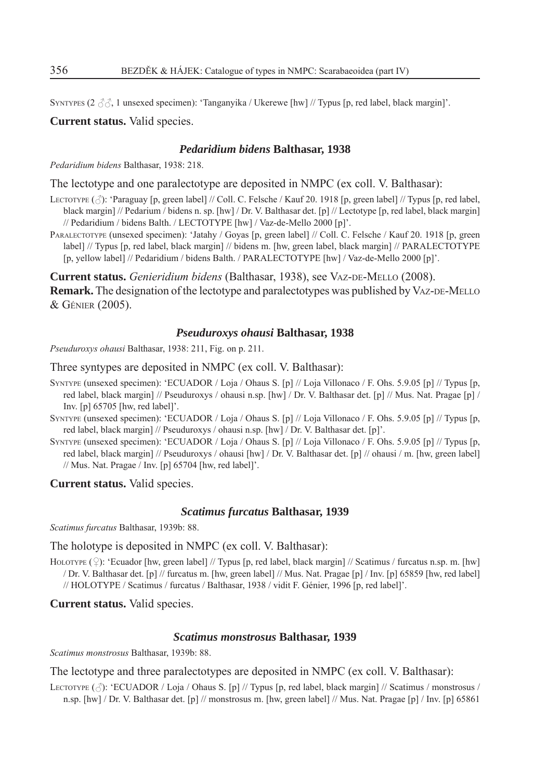SYNTYPES (2  $\beta \beta$ , 1 unsexed specimen): 'Tanganyika / Ukerewe [hw] // Typus [p, red label, black margin]'.

**Current status.** Valid species.

# *Pedaridium bidens* **Balthasar, 1938**

*Pedaridium bidens* Balthasar, 1938: 218.

The lectotype and one paralectotype are deposited in NMPC (ex coll. V. Balthasar):

- LECTOTYPE  $(\vec{\wedge})$ : 'Paraguay [p, green label] // Coll. C. Felsche / Kauf 20. 1918 [p, green label] // Typus [p, red label, black margin] // Pedarium / bidens n. sp. [hw] / Dr. V. Balthasar det. [p] // Lectotype [p, red label, black margin] // Pedaridium / bidens Balth. / LECTOTYPE [hw] / Vaz-de-Mello 2000 [p]'.
- PARALECTOTYPE (unsexed specimen): 'Jatahy / Goyas [p, green label] // Coll. C. Felsche / Kauf 20. 1918 [p, green label] // Typus [p, red label, black margin] // bidens m. [hw, green label, black margin] // PARALECTOTYPE [p, yellow label] // Pedaridium / bidens Balth. / PARALECTOTYPE [hw] / Vaz-de-Mello 2000 [p]'.

**Current status.** *Genieridium bidens* (Balthasar, 1938), see VAZ-DE-MELLO (2008).

**Remark.** The designation of the lectotype and paralectotypes was published by VAZ-DE-MELLO & GÉNIER (2005).

## *Pseuduroxys ohausi* **Balthasar, 1938**

*Pseuduroxys ohausi* Balthasar, 1938: 211, Fig. on p. 211.

Three syntypes are deposited in NMPC (ex coll. V. Balthasar):

- SYNTYPE (unsexed specimen): 'ECUADOR / Loja / Ohaus S. [p] // Loja Villonaco / F. Ohs. 5.9.05 [p] // Typus [p, red label, black margin] // Pseuduroxys / ohausi n.sp. [hw] / Dr. V. Balthasar det. [p] // Mus. Nat. Pragae [p] / Inv. [p] 65705 [hw, red label]'.
- SYNTYPE (unsexed specimen): 'ECUADOR / Loja / Ohaus S. [p] // Loja Villonaco / F. Ohs. 5.9.05 [p] // Typus [p, red label, black margin] // Pseuduroxys / ohausi n.sp. [hw] / Dr. V. Balthasar det. [p]'.
- SYNTYPE (unsexed specimen): 'ECUADOR / Loja / Ohaus S. [p] // Loja Villonaco / F. Ohs. 5.9.05 [p] // Typus [p, red label, black margin] // Pseuduroxys / ohausi [hw] / Dr. V. Balthasar det. [p] // ohausi / m. [hw, green label] // Mus. Nat. Pragae / Inv. [p] 65704 [hw, red label]'.

**Current status.** Valid species.

# *Scatimus furcatus* **Balthasar, 1939**

*Scatimus furcatus* Balthasar, 1939b: 88.

The holotype is deposited in NMPC (ex coll. V. Balthasar):

HOLOTYPE  $(\mathcal{Q})$ : 'Ecuador [hw, green label] // Typus [p, red label, black margin] // Scatimus / furcatus n.sp. m. [hw] / Dr. V. Balthasar det. [p] // furcatus m. [hw, green label] // Mus. Nat. Pragae [p] / Inv. [p] 65859 [hw, red label] // HOLOTYPE / Scatimus / furcatus / Balthasar, 1938 / vidit F. Génier, 1996 [p, red label]'.

**Current status.** Valid species.

#### *Scatimus monstrosus* **Balthasar, 1939**

*Scatimus monstrosus* Balthasar, 1939b: 88.

The lectotype and three paralectotypes are deposited in NMPC (ex coll. V. Balthasar):

LECTOTYPE  $(\vec{\beta})$ : 'ECUADOR / Loja / Ohaus S. [p] // Typus [p, red label, black margin] // Scatimus / monstrosus / n.sp. [hw] / Dr. V. Balthasar det. [p] // monstrosus m. [hw, green label] // Mus. Nat. Pragae [p] / Inv. [p] 65861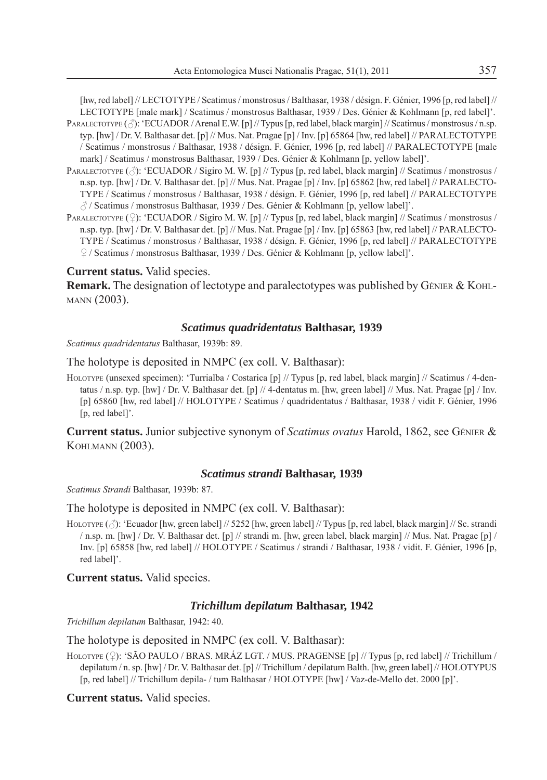[hw, red label] // LECTOTYPE / Scatimus / monstrosus / Balthasar, 1938 / désign. F. Génier, 1996 [p, red label] // LECTOTYPE [male mark] / Scatimus / monstrosus Balthasar, 1939 / Des. Génier & Kohlmann [p, red label]'.

- PARALECTOTYPE ( $\Diamond$ ): 'ECUADOR / Arenal E.W. [p] // Typus [p, red label, black margin] // Scatimus / monstrosus / n.sp. typ. [hw] / Dr. V. Balthasar det. [p] // Mus. Nat. Pragae [p] / Inv. [p] 65864 [hw, red label] // PARALECTOTYPE / Scatimus / monstrosus / Balthasar, 1938 / désign. F. Génier, 1996 [p, red label] // PARALECTOTYPE [male mark] / Scatimus / monstrosus Balthasar, 1939 / Des. Génier & Kohlmann [p, yellow label]'.
- PARALECTOTYPE ( $\beta$ ): 'ECUADOR / Sigiro M. W. [p] // Typus [p, red label, black margin] // Scatimus / monstrosus / n.sp. typ. [hw] / Dr. V. Balthasar det. [p] // Mus. Nat. Pragae [p] / Inv. [p] 65862 [hw, red label] // PARALECTO-TYPE / Scatimus / monstrosus / Balthasar, 1938 / désign. F. Génier, 1996 [p, red label] // PARALECTOTYPE / Scatimus / monstrosus Balthasar, 1939 / Des. Génier & Kohlmann [p, yellow label]'.
- PARALECTOTYPE  $(\hat{\varphi})$ : 'ECUADOR / Sigiro M. W. [p] // Typus [p, red label, black margin] // Scatimus / monstrosus / n.sp. typ. [hw] / Dr. V. Balthasar det. [p] // Mus. Nat. Pragae [p] / Inv. [p] 65863 [hw, red label] // PARALECTO-TYPE / Scatimus / monstrosus / Balthasar, 1938 / désign. F. Génier, 1996 [p, red label] // PARALECTOTYPE / Scatimus / monstrosus Balthasar, 1939 / Des. Génier & Kohlmann [p, yellow label]'.

# **Current status.** Valid species.

**Remark.** The designation of lectotype and paralectotypes was published by GÉNIER & KOHL-MANN (2003).

## *Scatimus quadridentatus* **Balthasar, 1939**

*Scatimus quadridentatus* Balthasar, 1939b: 89.

The holotype is deposited in NMPC (ex coll. V. Balthasar):

HOLOTYPE (unsexed specimen): 'Turrialba / Costarica [p] // Typus [p, red label, black margin] // Scatimus / 4-dentatus / n.sp. typ. [hw] / Dr. V. Balthasar det. [p] // 4-dentatus m. [hw, green label] // Mus. Nat. Pragae [p] / Inv. [p] 65860 [hw, red label] // HOLOTYPE / Scatimus / quadridentatus / Balthasar, 1938 / vidit F. Génier, 1996 [p, red label]'.

**Current status.** Junior subjective synonym of *Scatimus ovatus* Harold, 1862, see GÉNIER & KOHLMANN (2003).

#### *Scatimus strandi* **Balthasar, 1939**

*Scatimus Strandi* Balthasar, 1939b: 87.

The holotype is deposited in NMPC (ex coll. V. Balthasar):

HOLOTYPE  $(\vec{\wedge})$ : 'Ecuador [hw, green label] // 5252 [hw, green label] // Typus [p, red label, black margin] // Sc. strandi / n.sp. m. [hw] / Dr. V. Balthasar det. [p] // strandi m. [hw, green label, black margin] // Mus. Nat. Pragae [p] / Inv. [p] 65858 [hw, red label] // HOLOTYPE / Scatimus / strandi / Balthasar, 1938 / vidit. F. Génier, 1996 [p, red label]'.

**Current status.** Valid species.

# *Trichillum depilatum* **Balthasar, 1942**

*Trichillum depilatum* Balthasar, 1942: 40.

The holotype is deposited in NMPC (ex coll. V. Balthasar):

HOLOTYPE (?): 'SÃO PAULO / BRAS. MRÁZ LGT. / MUS. PRAGENSE [p] // Typus [p, red label] // Trichillum / depilatum / n. sp. [hw] / Dr. V. Balthasar det. [p] // Trichillum / depilatum Balth. [hw, green label] // HOLOTYPUS [p, red label] // Trichillum depila- / tum Balthasar / HOLOTYPE [hw] / Vaz-de-Mello det. 2000 [p]'.

**Current status.** Valid species.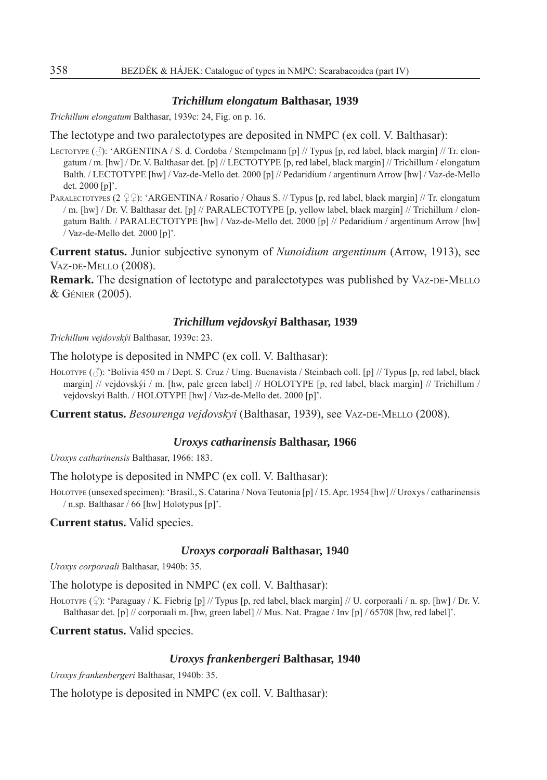# *Trichillum elongatum* **Balthasar, 1939**

*Trichillum elongatum* Balthasar, 1939c: 24, Fig. on p. 16.

The lectotype and two paralectotypes are deposited in NMPC (ex coll. V. Balthasar):

LECTOTYPE  $(\vec{\wedge})$ : 'ARGENTINA / S. d. Cordoba / Stempelmann [p] // Typus [p, red label, black margin] // Tr. elongatum / m. [hw] / Dr. V. Balthasar det. [p] // LECTOTYPE [p, red label, black margin] // Trichillum / elongatum Balth. / LECTOTYPE [hw] / Vaz-de-Mello det. 2000 [p] // Pedaridium / argentinum Arrow [hw] / Vaz-de-Mello det. 2000 [p]'.

PARALECTOTYPES (2  $\circ$  Q): 'ARGENTINA / Rosario / Ohaus S. // Typus [p, red label, black margin] // Tr. elongatum / m. [hw] / Dr. V. Balthasar det. [p] // PARALECTOTYPE [p, yellow label, black margin] // Trichillum / elongatum Balth. / PARALECTOTYPE [hw] / Vaz-de-Mello det. 2000 [p] // Pedaridium / argentinum Arrow [hw] / Vaz-de-Mello det. 2000 [p]'.

**Current status.** Junior subjective synonym of *Nunoidium argentinum* (Arrow, 1913), see VAZ-DE-MELLO (2008).

**Remark.** The designation of lectotype and paralectotypes was published by VAZ-DE-MELLO & GÉNIER (2005).

# *Trichillum vejdovskyi* **Balthasar, 1939**

*Trichillum vejdovskýi* Balthasar, 1939c: 23.

The holotype is deposited in NMPC (ex coll. V. Balthasar):

HOLOTYPE  $(\text{A})$ : 'Bolivia 450 m / Dept. S. Cruz / Umg. Buenavista / Steinbach coll. [p] // Typus [p, red label, black margin] // vejdovskýi / m. [hw, pale green label] // HOLOTYPE [p, red label, black margin] // Trichillum / vejdovskyi Balth. / HOLOTYPE [hw] / Vaz-de-Mello det. 2000 [p]'.

**Current status.** *Besourenga vejdovskyi* (Balthasar, 1939), see VAZ-DE-MELLO (2008).

# *Uroxys catharinensis* **Balthasar, 1966**

*Uroxys catharinensis* Balthasar, 1966: 183.

The holotype is deposited in NMPC (ex coll. V. Balthasar):

HOLOTYPE (unsexed specimen): 'Brasil., S. Catarina / Nova Teutonia [p] / 15. Apr. 1954 [hw] // Uroxys / catharinensis / n.sp. Balthasar / 66 [hw] Holotypus [p]'.

**Current status.** Valid species.

#### *Uroxys corporaali* **Balthasar, 1940**

*Uroxys corporaali* Balthasar, 1940b: 35.

The holotype is deposited in NMPC (ex coll. V. Balthasar):

HOLOTYPE  $(\mathcal{Q})$ : 'Paraguay / K. Fiebrig [p] // Typus [p, red label, black margin] // U. corporaali / n. sp. [hw] / Dr. V. Balthasar det. [p] // corporaali m. [hw, green label] // Mus. Nat. Pragae / Inv [p] / 65708 [hw, red label]'.

**Current status.** Valid species.

# *Uroxys frankenbergeri* **Balthasar, 1940**

*Uroxys frankenbergeri* Balthasar, 1940b: 35.

The holotype is deposited in NMPC (ex coll. V. Balthasar):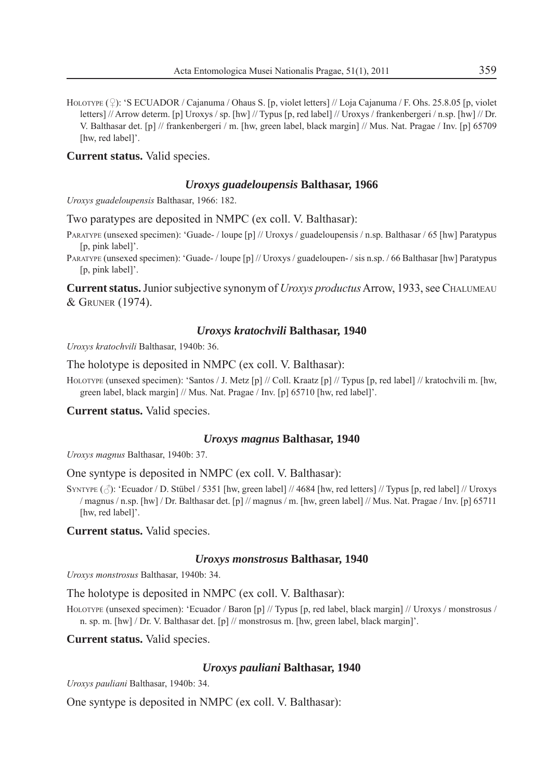HOLOTYPE  $(\mathcal{Q})$ : 'S ECUADOR / Cajanuma / Ohaus S. [p, violet letters] // Loja Cajanuma / F. Ohs. 25.8.05 [p, violet letters] // Arrow determ. [p] Uroxys / sp. [hw] // Typus [p, red label] // Uroxys / frankenbergeri / n.sp. [hw] // Dr. V. Balthasar det. [p] // frankenbergeri / m. [hw, green label, black margin] // Mus. Nat. Pragae / Inv. [p] 65709 [hw, red label]'.

**Current status.** Valid species.

#### *Uroxys guadeloupensis* **Balthasar, 1966**

*Uroxys guadeloupensis* Balthasar, 1966: 182.

Two paratypes are deposited in NMPC (ex coll. V. Balthasar):

- PARATYPE (unsexed specimen): 'Guade- / loupe [p] // Uroxys / guadeloupensis / n.sp. Balthasar / 65 [hw] Paratypus [p, pink label]'.
- PARATYPE (unsexed specimen): 'Guade-/loupe [p] // Uroxys / guadeloupen-/sis n.sp. / 66 Balthasar [hw] Paratypus [p, pink label]'.

**Current status.** Junior subjective synonym of *Uroxys productus* Arrow, 1933, see CHALUMEAU & GRUNER (1974).

#### *Uroxys kratochvili* **Balthasar, 1940**

*Uroxys kratochvili* Balthasar, 1940b: 36.

The holotype is deposited in NMPC (ex coll. V. Balthasar):

HOLOTYPE (unsexed specimen): 'Santos / J. Metz [p] // Coll. Kraatz [p] // Typus [p, red label] // kratochvili m. [hw, green label, black margin] // Mus. Nat. Pragae / Inv. [p] 65710 [hw, red label]'.

**Current status.** Valid species.

#### *Uroxys magnus* **Balthasar, 1940**

*Uroxys magnus* Balthasar, 1940b: 37.

One syntype is deposited in NMPC (ex coll. V. Balthasar):

SYNTYPE (A): 'Ecuador / D. Stübel / 5351 [hw, green label] // 4684 [hw, red letters] // Typus [p, red label] // Uroxys / magnus / n.sp. [hw] / Dr. Balthasar det. [p] // magnus / m. [hw, green label] // Mus. Nat. Pragae / Inv. [p] 65711 [hw, red label]'.

**Current status.** Valid species.

# *Uroxys monstrosus* **Balthasar, 1940**

*Uroxys monstrosus* Balthasar, 1940b: 34.

The holotype is deposited in NMPC (ex coll. V. Balthasar):

HOLOTYPE (unsexed specimen): 'Ecuador / Baron [p] // Typus [p, red label, black margin] // Uroxys / monstrosus / n. sp. m. [hw] / Dr. V. Balthasar det. [p] // monstrosus m. [hw, green label, black margin]'.

**Current status.** Valid species.

# *Uroxys pauliani* **Balthasar, 1940**

*Uroxys pauliani* Balthasar, 1940b: 34.

One syntype is deposited in NMPC (ex coll. V. Balthasar):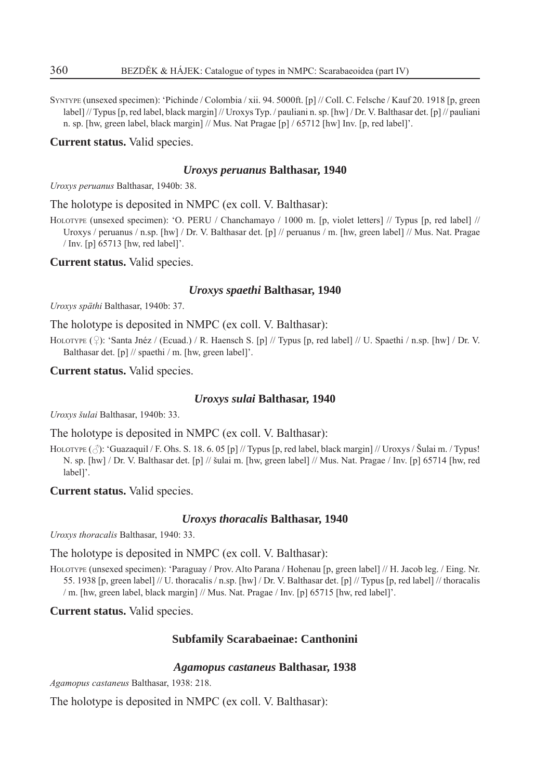SYNTYPE (unsexed specimen): 'Pichinde / Colombia / xii. 94. 5000ft. [p] // Coll. C. Felsche / Kauf 20. 1918 [p, green label] // Typus [p, red label, black margin] // Uroxys Typ. / pauliani n. sp. [hw] / Dr. V. Balthasar det. [p] // pauliani n. sp. [hw, green label, black margin] // Mus. Nat Pragae [p] / 65712 [hw] Inv. [p, red label]'.

**Current status.** Valid species.

# *Uroxys peruanus* **Balthasar, 1940**

*Uroxys peruanus* Balthasar, 1940b: 38.

The holotype is deposited in NMPC (ex coll. V. Balthasar):

HOLOTYPE (unsexed specimen): 'O. PERU / Chanchamayo / 1000 m. [p, violet letters] // Typus [p, red label] // Uroxys / peruanus / n.sp. [hw] / Dr. V. Balthasar det. [p] // peruanus / m. [hw, green label] // Mus. Nat. Pragae / Inv. [p] 65713 [hw, red label]'.

**Current status.** Valid species.

# *Uroxys spaethi* **Balthasar, 1940**

*Uroxys späthi* Balthasar, 1940b: 37.

The holotype is deposited in NMPC (ex coll. V. Balthasar):

HOLOTYPE  $(\mathcal{Q})$ : 'Santa Jnéz / (Ecuad.) / R. Haensch S. [p] // Typus [p, red label] // U. Spaethi / n.sp. [hw] / Dr. V. Balthasar det. [p] // spaethi / m. [hw, green label]'.

**Current status.** Valid species.

#### *Uroxys sulai* **Balthasar, 1940**

*Uroxys šulai* Balthasar, 1940b: 33.

The holotype is deposited in NMPC (ex coll. V. Balthasar):

HOLOTYPE  $(\text{A})$ : 'Guazaquil / F. Ohs. S. 18. 6. 05 [p] // Typus [p, red label, black margin] // Uroxys / Šulai m. / Typus! N. sp. [hw] / Dr. V. Balthasar det. [p] // šulai m. [hw, green label] // Mus. Nat. Pragae / Inv. [p] 65714 [hw, red label]'.

**Current status.** Valid species.

#### *Uroxys thoracalis* **Balthasar, 1940**

*Uroxys thoracalis* Balthasar, 1940: 33.

The holotype is deposited in NMPC (ex coll. V. Balthasar):

HOLOTYPE (unsexed specimen): 'Paraguay / Prov. Alto Parana / Hohenau [p, green label] // H. Jacob leg. / Eing. Nr. 55. 1938 [p, green label] // U. thoracalis / n.sp. [hw] / Dr. V. Balthasar det. [p] // Typus [p, red label] // thoracalis / m. [hw, green label, black margin] // Mus. Nat. Pragae / Inv. [p] 65715 [hw, red label]'.

**Current status.** Valid species.

# **Subfamily Scarabaeinae: Canthonini**

# *Agamopus castaneus* **Balthasar, 1938**

*Agamopus castaneus* Balthasar, 1938: 218.

The holotype is deposited in NMPC (ex coll. V. Balthasar):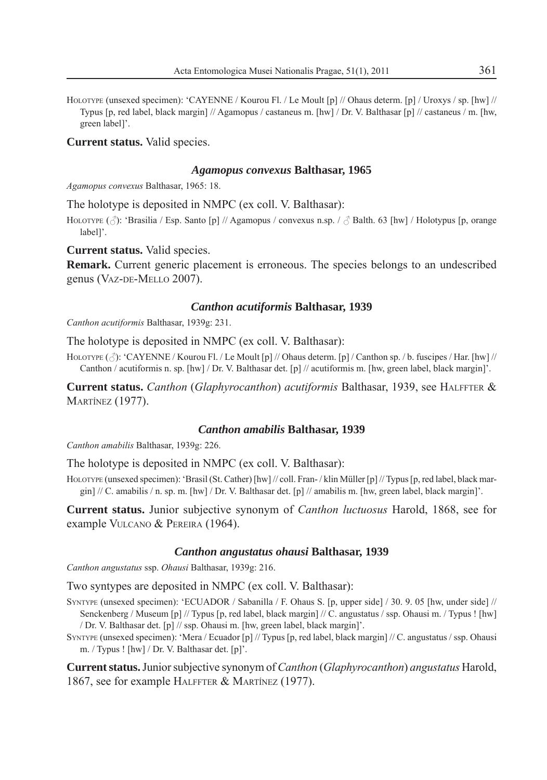HOLOTYPE (unsexed specimen): 'CAYENNE / Kourou Fl. / Le Moult [p] // Ohaus determ. [p] / Uroxys / sp. [hw] // Typus [p, red label, black margin] // Agamopus / castaneus m. [hw] / Dr. V. Balthasar [p] // castaneus / m. [hw, green label]'.

**Current status.** Valid species.

#### *Agamopus convexus* **Balthasar, 1965**

*Agamopus convexus* Balthasar, 1965: 18.

The holotype is deposited in NMPC (ex coll. V. Balthasar):

HOLOTYPE  $(\vec{\gamma})$ : 'Brasilia / Esp. Santo [p] // Agamopus / convexus n.sp. /  $\vec{\gamma}$  Balth. 63 [hw] / Holotypus [p, orange label]'.

**Current status.** Valid species.

**Remark.** Current generic placement is erroneous. The species belongs to an undescribed genus (VAZ-DE-MELLO 2007).

# *Canthon acutiformis* **Balthasar, 1939**

*Canthon acutiformis* Balthasar, 1939g: 231.

The holotype is deposited in NMPC (ex coll. V. Balthasar):

HOLOTYPE ( $\Diamond$ ): 'CAYENNE / Kourou Fl. / Le Moult [p] // Ohaus determ. [p] / Canthon sp. / b. fuscipes / Har. [hw] // Canthon / acutiformis n. sp. [hw] / Dr. V. Balthasar det. [p] // acutiformis m. [hw, green label, black margin]'.

**Current status.** *Canthon* (*Glaphyrocanthon*) *acutiformis* Balthasar, 1939, see HALFFTER & **MARTÍNEZ (1977).** 

#### *Canthon amabilis* **Balthasar, 1939**

*Canthon amabilis* Balthasar, 1939g: 226.

The holotype is deposited in NMPC (ex coll. V. Balthasar):

HOLOTYPE (unsexed specimen): 'Brasil (St. Cather) [hw] // coll. Fran-/klin Müller [p] // Typus [p, red label, black margin]  $/ / C$ . amabilis  $/ n$ . sp. m. [hw]  $/ Dr$ . V. Balthasar det. [p]  $/ / n$  amabilis m. [hw, green label, black margin]'.

**Current status.** Junior subjective synonym of *Canthon luctuosus* Harold, 1868, see for example VULCANO & PEREIRA (1964).

# *Canthon angustatus ohausi* **Balthasar, 1939**

*Canthon angustatus* ssp. *Ohausi* Balthasar, 1939g: 216.

Two syntypes are deposited in NMPC (ex coll. V. Balthasar):

- SYNTYPE (unsexed specimen): 'ECUADOR / Sabanilla / F. Ohaus S. [p, upper side] / 30. 9. 05 [hw, under side] // Senckenberg / Museum [p] // Typus [p, red label, black margin] // C. angustatus / ssp. Ohausi m. / Typus ! [hw] / Dr. V. Balthasar det. [p] // ssp. Ohausi m. [hw, green label, black margin]'.
- SYNTYPE (unsexed specimen): 'Mera / Ecuador [p] // Typus [p, red label, black margin] // C. angustatus / ssp. Ohausi m. / Typus ! [hw] / Dr. V. Balthasar det. [p]'.

**Current status.** Junior subjective synonym of *Canthon* (*Glaphyrocanthon*) *angustatus* Harold, 1867, see for example HALFFTER & MARTÍNEZ (1977).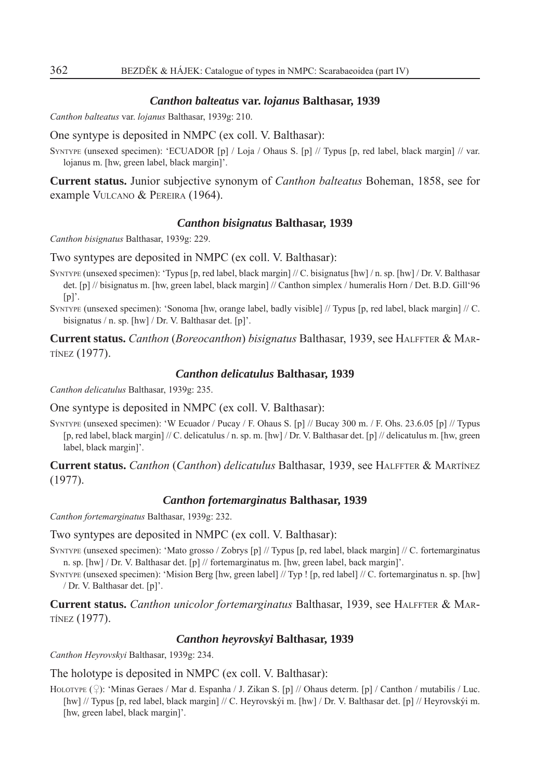#### *Canthon balteatus* **var.** *lojanus* **Balthasar, 1939**

*Canthon balteatus* var. *lojanus* Balthasar, 1939g: 210.

# One syntype is deposited in NMPC (ex coll. V. Balthasar):

SYNTYPE (unsexed specimen): 'ECUADOR [p] / Loja / Ohaus S. [p] // Typus [p, red label, black margin] // var. lojanus m. [hw, green label, black margin]'.

**Current status.** Junior subjective synonym of *Canthon balteatus* Boheman, 1858, see for example VULCANO & PEREIRA (1964).

#### *Canthon bisignatus* **Balthasar, 1939**

*Canthon bisignatus* Balthasar, 1939g: 229.

Two syntypes are deposited in NMPC (ex coll. V. Balthasar):

- SYNTYPE (unsexed specimen): 'Typus [p, red label, black margin] // C. bisignatus [hw] / n. sp. [hw] / Dr. V. Balthasar det. [p] // bisignatus m. [hw, green label, black margin] // Canthon simplex / humeralis Horn / Det. B.D. Gill'96  $[p]'$ .
- SYNTYPE (unsexed specimen): 'Sonoma [hw, orange label, badly visible] // Typus [p, red label, black margin] // C. bisignatus / n. sp. [hw] / Dr. V. Balthasar det. [p]'.

**Current status.** *Canthon* (*Boreocanthon*) *bisignatus* Balthasar, 1939, see HALFFTER & MAR-TÍNEZ (1977).

# *Canthon delicatulus* **Balthasar, 1939**

*Canthon delicatulus* Balthasar, 1939g: 235.

One syntype is deposited in NMPC (ex coll. V. Balthasar):

SYNTYPE (unsexed specimen): 'W Ecuador / Pucay / F. Ohaus S. [p] // Bucay 300 m. / F. Ohs. 23.6.05 [p] // Typus [p, red label, black margin] // C. delicatulus / n. sp. m. [hw] / Dr. V. Balthasar det. [p] // delicatulus m. [hw, green label, black margin]'.

**Current status.** *Canthon* (*Canthon*) *delicatulus* Balthasar, 1939, see HALFFTER & MARTÍNEZ (1977).

# *Canthon fortemarginatus* **Balthasar, 1939**

*Canthon fortemarginatus* Balthasar, 1939g: 232.

# Two syntypes are deposited in NMPC (ex coll. V. Balthasar):

SYNTYPE (unsexed specimen): 'Mato grosso / Zobrys [p] // Typus [p, red label, black margin] // C. fortemarginatus n. sp. [hw] / Dr. V. Balthasar det. [p] // fortemarginatus m. [hw, green label, back margin]'.

SYNTYPE (unsexed specimen): 'Mision Berg [hw, green label] // Typ ! [p, red label] // C. fortemarginatus n. sp. [hw] / Dr. V. Balthasar det. [p]'.

**Current status.** *Canthon unicolor fortemarginatus* Balthasar, 1939, see HALFFTER & MAR-TÍNEZ (1977).

#### *Canthon heyrovskyi* **Balthasar, 1939**

*Canthon Heyrovskyi* Balthasar, 1939g: 234.

The holotype is deposited in NMPC (ex coll. V. Balthasar):

HOLOTYPE  $(\circled{)}$ : 'Minas Geraes / Mar d. Espanha / J. Zikan S. [p] // Ohaus determ. [p] / Canthon / mutabilis / Luc. [hw] // Typus [p, red label, black margin] // C. Heyrovskýi m. [hw] / Dr. V. Balthasar det. [p] // Heyrovskýi m. [hw, green label, black margin]'.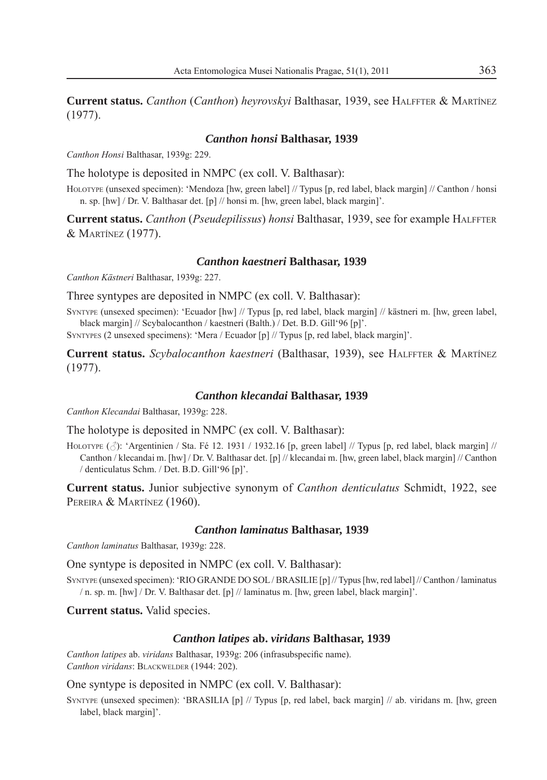**Current status.** *Canthon* (*Canthon*) *heyrovskyi* Balthasar, 1939, see HALFFTER & MARTÍNEZ (1977).

# *Canthon honsi* **Balthasar, 1939**

*Canthon Honsi* Balthasar, 1939g: 229.

The holotype is deposited in NMPC (ex coll. V. Balthasar):

HOLOTYPE (unsexed specimen): 'Mendoza [hw, green label] // Typus [p, red label, black margin] // Canthon / honsi n. sp. [hw] / Dr. V. Balthasar det. [p] // honsi m. [hw, green label, black margin]'.

**Current status.** *Canthon* (*Pseudepilissus*) *honsi* Balthasar, 1939, see for example HALFFTER & MARTÍNEZ (1977).

# *Canthon kaestneri* **Balthasar, 1939**

*Canthon Kästneri* Balthasar, 1939g: 227.

Three syntypes are deposited in NMPC (ex coll. V. Balthasar):

SYNTYPE (unsexed specimen): 'Ecuador [hw] // Typus [p, red label, black margin] // kästneri m. [hw, green label, black margin] // Scybalocanthon / kaestneri (Balth.) / Det. B.D. Gill'96 [p]'.

SYNTYPES (2 unsexed specimens): 'Mera / Ecuador [p] // Typus [p, red label, black margin]'.

**Current status.** *Scybalocanthon kaestneri* (Balthasar, 1939), see HALFFTER & MARTÍNEZ (1977).

# *Canthon klecandai* **Balthasar, 1939**

*Canthon Klecandai* Balthasar, 1939g: 228.

The holotype is deposited in NMPC (ex coll. V. Balthasar):

HOLOTYPE  $(\text{3})$ : 'Argentinien / Sta. Fé 12. 1931 / 1932.16 [p, green label] // Typus [p, red label, black margin] // Canthon / klecandai m. [hw] / Dr. V. Balthasar det. [p] // klecandai m. [hw, green label, black margin] // Canthon / denticulatus Schm. / Det. B.D. Gill'96 [p]'.

**Current status.** Junior subjective synonym of *Canthon denticulatus* Schmidt, 1922, see PEREIRA & MARTÍNEZ (1960).

#### *Canthon laminatus* **Balthasar, 1939**

*Canthon laminatus* Balthasar, 1939g: 228.

One syntype is deposited in NMPC (ex coll. V. Balthasar):

SYNTYPE (unsexed specimen): 'RIO GRANDE DO SOL / BRASILIE [p] // Typus [hw, red label] // Canthon / laminatus / n. sp. m. [hw] / Dr. V. Balthasar det. [p] // laminatus m. [hw, green label, black margin]'.

**Current status.** Valid species.

#### *Canthon latipes* **ab.** *viridans* **Balthasar, 1939**

*Canthon latipes* ab. *viridans* Balthasar, 1939g: 206 (infrasubspecific name). *Canthon viridans*: BLACKWELDER (1944: 202).

One syntype is deposited in NMPC (ex coll. V. Balthasar):

SYNTYPE (unsexed specimen): 'BRASILIA [p] // Typus [p, red label, back margin] // ab. viridans m. [hw, green label, black margin]'.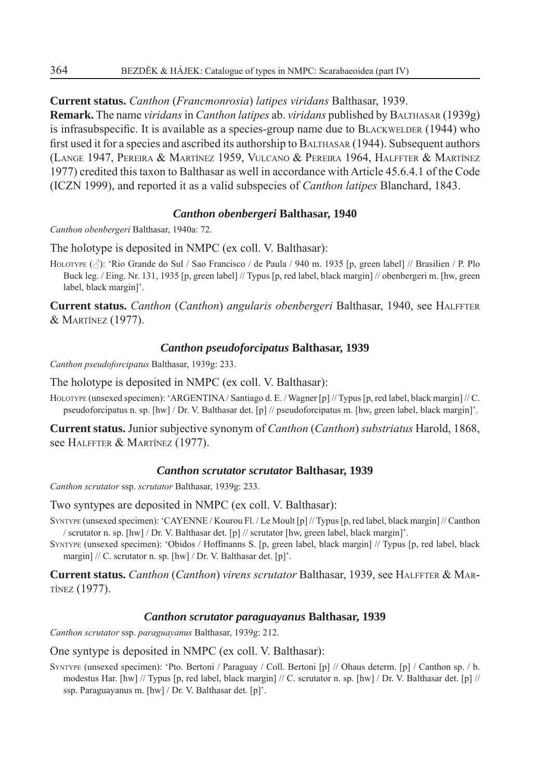**Current status.** *Canthon* (*Francmonrosia*) *latipes viridans* Balthasar, 1939.

**Remark.** The name *viridans* in *Canthon latipes* ab. *viridans* published by BALTHASAR (1939g) is infrasubspecific. It is available as a species-group name due to BLACKWELDER  $(1944)$  who first used it for a species and ascribed its authorship to BALTHASAR (1944). Subsequent authors (LANGE 1947, PEREIRA & MARTÍNEZ 1959, VULCANO & PEREIRA 1964, HALFFTER & MARTÍNEZ 1977) credited this taxon to Balthasar as well in accordance with Article 45.6.4.1 of the Code (ICZN 1999), and reported it as a valid subspecies of *Canthon latipes* Blanchard, 1843.

# *Canthon obenbergeri* **Balthasar, 1940**

*Canthon obenbergeri* Balthasar, 1940a: 72.

The holotype is deposited in NMPC (ex coll. V. Balthasar):

HOLOTYPE ( $\triangle$ ): 'Rio Grande do Sul / Sao Francisco / de Paula / 940 m. 1935 [p, green label] // Brasilien / P. Plo Buck leg. / Eing. Nr. 131, 1935 [p, green label] // Typus [p, red label, black margin] // obenbergeri m. [hw, green label, black margin]'.

**Current status.** *Canthon* (*Canthon*) *angularis obenbergeri* Balthasar, 1940, see HALFFTER & MARTÍNEZ (1977).

# *Canthon pseudoforcipatus* **Balthasar, 1939**

*Canthon pseudoforcipatus* Balthasar, 1939g: 233.

The holotype is deposited in NMPC (ex coll. V. Balthasar):

HOLOTYPE (unsexed specimen): 'ARGENTINA / Santiago d. E. / Wagner [p] // Typus [p, red label, black margin] // C. pseudoforcipatus n. sp. [hw] / Dr. V. Balthasar det. [p] // pseudoforcipatus m. [hw, green label, black margin]'.

**Current status.** Junior subjective synonym of *Canthon* (*Canthon*) *substriatus* Harold, 1868, see HALFFTER & MARTÍNEZ (1977).

# *Canthon scrutator scrutator* **Balthasar, 1939**

*Canthon scrutator* ssp. *scrutator* Balthasar, 1939g: 233.

Two syntypes are deposited in NMPC (ex coll. V. Balthasar):

SYNTYPE (unsexed specimen): 'CAYENNE / Kourou Fl. / Le Moult [p] // Typus [p, red label, black margin] // Canthon / scrutator n. sp. [hw] / Dr. V. Balthasar det. [p] // scrutator [hw, green label, black margin]'.

SYNTYPE (unsexed specimen): 'Obidos / Hoffmanns S. [p, green label, black margin] // Typus [p, red label, black margin] // C. scrutator n. sp. [hw] / Dr. V. Balthasar det. [p]'.

**Current status.** *Canthon* (*Canthon*) *virens scrutator* Balthasar, 1939, see HALFFTER & MAR-TÍNEZ (1977).

# *Canthon scrutator paraguayanus* **Balthasar, 1939**

*Canthon scrutator* ssp. *paraguayanus* Balthasar, 1939g: 212.

# One syntype is deposited in NMPC (ex coll. V. Balthasar):

SYNTYPE (unsexed specimen): 'Pto. Bertoni / Paraguay / Coll. Bertoni [p] // Ohaus determ. [p] / Canthon sp. / b. modestus Har. [hw] // Typus [p, red label, black margin] // C. scrutator n. sp. [hw] / Dr. V. Balthasar det. [p] // ssp. Paraguayanus m. [hw] / Dr. V. Balthasar det. [p]'.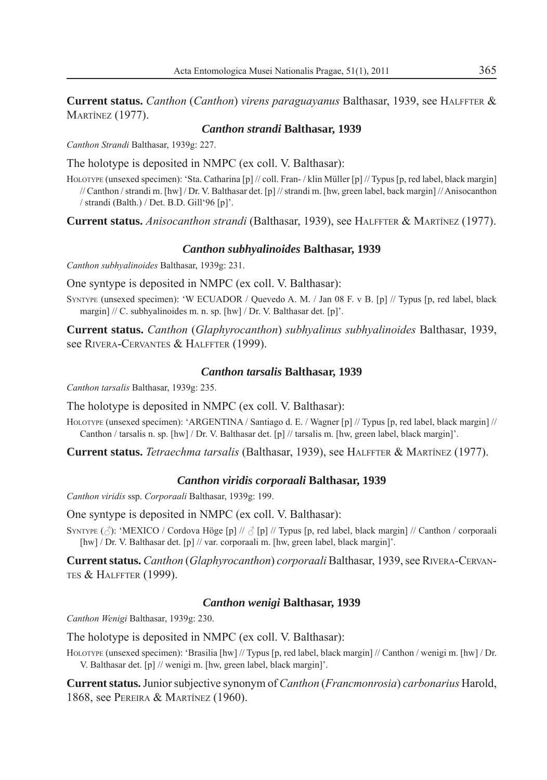**Current status.** *Canthon* (*Canthon*) *virens paraguayanus* Balthasar, 1939, see HALFFTER & **MARTÍNEZ (1977).** 

# *Canthon strandi* **Balthasar, 1939**

*Canthon Strandi* Balthasar, 1939g: 227.

The holotype is deposited in NMPC (ex coll. V. Balthasar):

HOLOTYPE (unsexed specimen): 'Sta. Catharina [p] // coll. Fran- / klin Müller [p] // Typus [p, red label, black margin] // Canthon / strandi m. [hw] / Dr. V. Balthasar det. [p] // strandi m. [hw, green label, back margin] // Anisocanthon / strandi (Balth.) / Det. B.D. Gill'96 [p]'.

**Current status.** *Anisocanthon strandi* (Balthasar, 1939), see HALFFTER & MARTÍNEZ (1977).

# *Canthon subhyalinoides* **Balthasar, 1939**

*Canthon subhyalinoides* Balthasar, 1939g: 231.

One syntype is deposited in NMPC (ex coll. V. Balthasar):

SYNTYPE (unsexed specimen): 'W ECUADOR / Quevedo A. M. / Jan 08 F. v B. [p] // Typus [p, red label, black margin] // C. subhyalinoides m. n. sp. [hw] / Dr. V. Balthasar det. [p]'.

**Current status.** *Canthon* (*Glaphyrocanthon*) *subhyalinus subhyalinoides* Balthasar, 1939, see RIVERA-CERVANTES & HALFFTER (1999).

# *Canthon tarsalis* **Balthasar, 1939**

*Canthon tarsalis* Balthasar, 1939g: 235.

The holotype is deposited in NMPC (ex coll. V. Balthasar):

HOLOTYPE (unsexed specimen): 'ARGENTINA / Santiago d. E. / Wagner [p] // Typus [p, red label, black margin] // Canthon / tarsalis n. sp. [hw] / Dr. V. Balthasar det. [p] // tarsalis m. [hw, green label, black margin]'.

**Current status.** *Tetraechma tarsalis* (Balthasar, 1939), see HALFFTER & MARTÍNEZ (1977).

# *Canthon viridis corporaali* **Balthasar, 1939**

*Canthon viridis* ssp. *Corporaali* Balthasar, 1939g: 199.

One syntype is deposited in NMPC (ex coll. V. Balthasar):

SYNTYPE  $(\text{A})$ : 'MEXICO / Cordova Höge [p] //  $\text{A}$  [p] // Typus [p, red label, black margin] // Canthon / corporaali [hw] / Dr. V. Balthasar det. [p] // var. corporaali m. [hw, green label, black margin]'.

**Current status.** *Canthon* (*Glaphyrocanthon*) *corporaali* Balthasar, 1939, see RIVERA-CERVAN-TES & HALFFTER (1999).

# *Canthon wenigi* **Balthasar, 1939**

*Canthon Wenigi* Balthasar, 1939g: 230.

The holotype is deposited in NMPC (ex coll. V. Balthasar):

HOLOTYPE (unsexed specimen): 'Brasilia [hw] // Typus [p, red label, black margin] // Canthon / wenigi m. [hw] / Dr. V. Balthasar det. [p] // wenigi m. [hw, green label, black margin]'.

**Current status.** Junior subjective synonym of *Canthon* (*Francmonrosia*) *carbonarius* Harold, 1868, see PEREIRA & MARTÍNEZ (1960).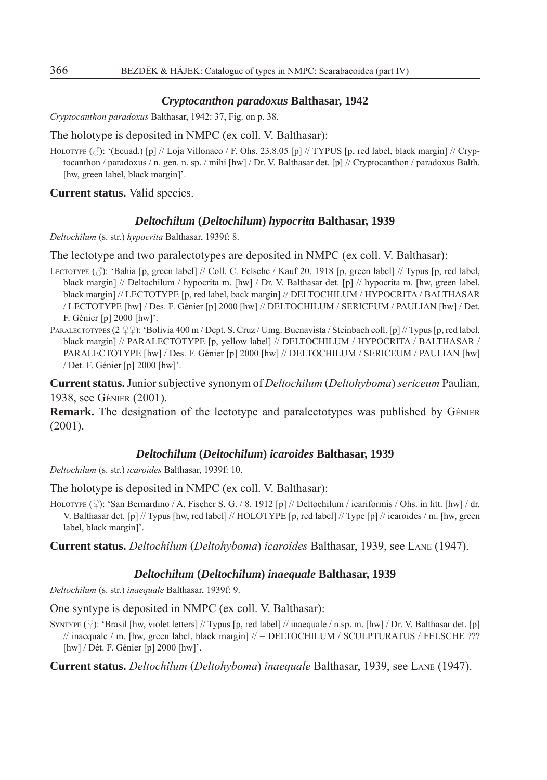#### *Cryptocanthon paradoxus* **Balthasar, 1942**

*Cryptocanthon paradoxus* Balthasar, 1942: 37, Fig. on p. 38.

# The holotype is deposited in NMPC (ex coll. V. Balthasar):

HOLOTYPE  $(\text{3})$ : '(Ecuad.) [p] // Loja Villonaco / F. Ohs. 23.8.05 [p] // TYPUS [p, red label, black margin] // Cryptocanthon / paradoxus / n. gen. n. sp. / mihi [hw] / Dr. V. Balthasar det. [p] // Cryptocanthon / paradoxus Balth. [hw, green label, black margin]'.

**Current status.** Valid species.

#### *Deltochilum* **(***Deltochilum***)** *hypocrita* **Balthasar, 1939**

*Deltochilum* (s. str.) *hypocrita* Balthasar, 1939f: 8.

The lectotype and two paralectotypes are deposited in NMPC (ex coll. V. Balthasar):

- LECTOTYPE  $(\vec{\beta})$ : 'Bahia [p, green label] // Coll. C. Felsche / Kauf 20. 1918 [p, green label] // Typus [p, red label, black margin] // Deltochilum / hypocrita m. [hw] / Dr. V. Balthasar det. [p] // hypocrita m. [hw, green label, black margin] // LECTOTYPE [p, red label, back margin] // DELTOCHILUM / HYPOCRITA / BALTHASAR / LECTOTYPE [hw] / Des. F. Génier [p] 2000 [hw] // DELTOCHILUM / SERICEUM / PAULIAN [hw] / Det. F. Génier [p] 2000 [hw]'.
- PARALECTOTYPES  $(2 \bigcirc \bigcirc)$ : 'Bolivia 400 m / Dept. S. Cruz / Umg. Buenavista / Steinbach coll. [p] // Typus [p, red label, black margin] // PARALECTOTYPE [p, yellow label] // DELTOCHILUM / HYPOCRITA / BALTHASAR / PARALECTOTYPE [hw] / Des. F. Génier [p] 2000 [hw] // DELTOCHILUM / SERICEUM / PAULIAN [hw] / Det. F. Génier [p] 2000 [hw]'.

**Current status.** Junior subjective synonym of *Deltochilum* (*Deltohyboma*) *sericeum* Paulian, 1938, see GÉNIER (2001).

**Remark.** The designation of the lectotype and paralectotypes was published by GÉNIER (2001).

#### *Deltochilum* **(***Deltochilum***)** *icaroides* **Balthasar, 1939**

*Deltochilum* (s. str.) *icaroides* Balthasar, 1939f: 10.

The holotype is deposited in NMPC (ex coll. V. Balthasar):

HOLOTYPE  $(\hat{\varphi})$ : 'San Bernardino / A. Fischer S. G. / 8. 1912 [p] // Deltochilum / icariformis / Ohs. in litt. [hw] / dr. V. Balthasar det. [p] // Typus [hw, red label] // HOLOTYPE [p, red label] // Type [p] // icaroides / m. [hw, green label, black margin]'.

**Current status.** *Deltochilum* (*Deltohyboma*) *icaroides* Balthasar, 1939, see LANE (1947).

# *Deltochilum* **(***Deltochilum***)** *inaequale* **Balthasar, 1939**

*Deltochilum* (s. str.) *inaequale* Balthasar, 1939f: 9.

One syntype is deposited in NMPC (ex coll. V. Balthasar):

SYNTYPE  $(2)$ : 'Brasil [hw, violet letters] // Typus [p, red label] // inaequale / n.sp. m. [hw] / Dr. V. Balthasar det. [p]  $\frac{1}{2}$  inaequale / m. [hw, green label, black margin]  $\frac{1}{2}$  = DELTOCHILUM / SCULPTURATUS / FELSCHE ??? [hw] / Dét. F. Génier [p] 2000 [hw]'.

**Current status.** *Deltochilum* (*Deltohyboma*) *inaequale* Balthasar, 1939, see LANE (1947).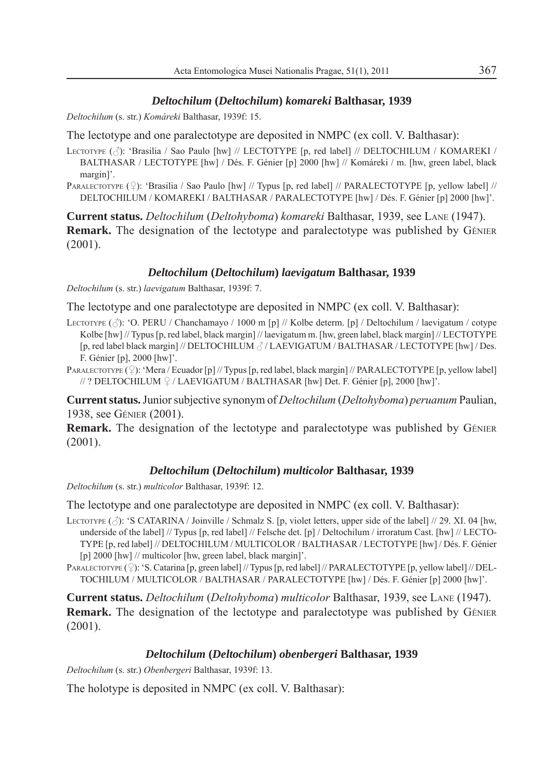# *Deltochilum* **(***Deltochilum***)** *komareki* **Balthasar, 1939**

*Deltochilum* (s. str.) *Komáreki* Balthasar, 1939f: 15.

The lectotype and one paralectotype are deposited in NMPC (ex coll. V. Balthasar):

- LECTOTYPE ( $\Diamond$ ): 'Brasilia / Sao Paulo [hw] // LECTOTYPE [p, red label] // DELTOCHILUM / KOMAREKI / BALTHASAR / LECTOTYPE [hw] / Dés. F. Génier [p] 2000 [hw] // Komáreki / m. [hw, green label, black margin]'.
- PARALECTOTYPE  $(\circ)$ : 'Brasilia / Sao Paulo [hw] // Typus [p, red label] // PARALECTOTYPE [p, yellow label] // DELTOCHILUM / KOMAREKI / BALTHASAR / PARALECTOTYPE [hw] / Dés. F. Génier [p] 2000 [hw]'.

**Current status.** *Deltochilum* (*Deltohyboma*) *komareki* Balthasar, 1939, see LANE (1947). **Remark.** The designation of the lectotype and paralectotype was published by GÉNIER (2001).

# *Deltochilum* **(***Deltochilum***)** *laevigatum* **Balthasar, 1939**

*Deltochilum* (s. str.) *laevigatum* Balthasar, 1939f: 7.

The lectotype and one paralectotype are deposited in NMPC (ex coll. V. Balthasar):

LECTOTYPE  $(\vec{\beta})$ : 'O. PERU / Chanchamayo / 1000 m [p] // Kolbe determ. [p] / Deltochilum / laevigatum / cotype Kolbe [hw] // Typus [p, red label, black margin] // laevigatum m. [hw, green label, black margin] // LECTOTYPE [p, red label black margin] // DELTOCHILUM  $\beta$ / LAEVIGATUM / BALTHASAR / LECTOTYPE [hw] / Des. F. Génier [p], 2000 [hw]'.

PARALECTOTYPE  $(\circ)$ : 'Mera / Ecuador [p] // Typus [p, red label, black margin] // PARALECTOTYPE [p, yellow label]  $/$  ? DELTOCHILUM  $\frac{1}{2}$  / LAEVIGATUM / BALTHASAR [hw] Det. F. Génier [p], 2000 [hw]'.

**Current status.** Junior subjective synonym of *Deltochilum* (*Deltohyboma*) *peruanum* Paulian, 1938, see GÉNIER (2001).

**Remark.** The designation of the lectotype and paralectotype was published by GÉNIER (2001).

# *Deltochilum* **(***Deltochilum***)** *multicolor* **Balthasar, 1939**

*Deltochilum* (s. str.) *multicolor* Balthasar, 1939f: 12.

The lectotype and one paralectotype are deposited in NMPC (ex coll. V. Balthasar):

- LECTOTYPE  $(\hat{\beta})$ : 'S CATARINA / Joinville / Schmalz S. [p, violet letters, upper side of the label] // 29. XI. 04 [hw, underside of the label] // Typus [p, red label] // Felsche det. [p] / Deltochilum / irroratum Cast. [hw] // LECTO-TYPE [p, red label] // DELTOCHILUM / MULTICOLOR / BALTHASAR / LECTOTYPE [hw] / Dés. F. Génier [p] 2000 [hw] // multicolor [hw, green label, black margin]'.
- PARALECTOTYPE ( $\hat{\varphi}$ ): 'S. Catarina [p, green label] // Typus [p, red label] // PARALECTOTYPE [p, yellow label] // DEL-TOCHILUM / MULTICOLOR / BALTHASAR / PARALECTOTYPE [hw] / Dés. F. Génier [p] 2000 [hw]'.

**Current status.** *Deltochilum* (*Deltohyboma*) *multicolor* Balthasar, 1939, see LANE (1947). **Remark.** The designation of the lectotype and paralectotype was published by GÉNIER (2001).

# *Deltochilum* **(***Deltochilum***)** *obenbergeri* **Balthasar, 1939**

*Deltochilum* (s. str.) *Obenbergeri* Balthasar, 1939f: 13.

The holotype is deposited in NMPC (ex coll. V. Balthasar):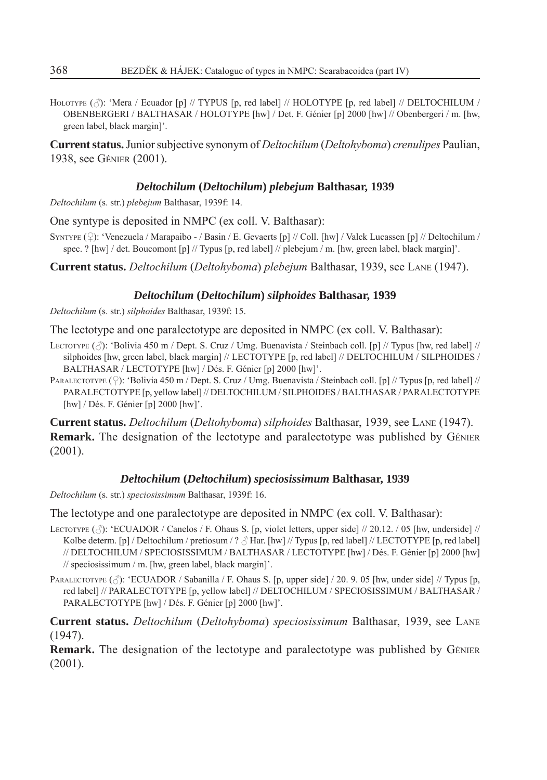HOLOTYPE  $(\triangle)$ : 'Mera / Ecuador [p] // TYPUS [p, red label] // HOLOTYPE [p, red label] // DELTOCHILUM / OBENBERGERI / BALTHASAR / HOLOTYPE [hw] / Det. F. Génier [p] 2000 [hw] // Obenbergeri / m. [hw, green label, black margin]'.

**Current status.** Junior subjective synonym of *Deltochilum* (*Deltohyboma*) *crenulipes* Paulian, 1938, see GÉNIER (2001).

# *Deltochilum* **(***Deltochilum***)** *plebejum* **Balthasar, 1939**

*Deltochilum* (s. str.) *plebejum* Balthasar, 1939f: 14.

One syntype is deposited in NMPC (ex coll. V. Balthasar):

SYNTYPE  $(Q)$ : 'Venezuela / Marapaibo - / Basin / E. Gevaerts [p] // Coll. [hw] / Valck Lucassen [p] // Deltochilum / spec. ? [hw] / det. Boucomont [p] // Typus [p, red label] // plebejum / m. [hw, green label, black margin]'.

**Current status.** *Deltochilum* (*Deltohyboma*) *plebejum* Balthasar, 1939, see LANE (1947).

# *Deltochilum* **(***Deltochilum***)** *silphoides* **Balthasar, 1939**

*Deltochilum* (s. str.) *silphoides* Balthasar, 1939f: 15.

The lectotype and one paralectotype are deposited in NMPC (ex coll. V. Balthasar):

- LECTOTYPE  $(\vec{\beta})$ : 'Bolivia 450 m / Dept. S. Cruz / Umg. Buenavista / Steinbach coll. [p] // Typus [hw, red label] // silphoides [hw, green label, black margin] // LECTOTYPE [p, red label] // DELTOCHILUM / SILPHOIDES / BALTHASAR / LECTOTYPE [hw] / Dés. F. Génier [p] 2000 [hw]'.
- PARALECTOTYPE  $(2)$ : 'Bolivia 450 m / Dept. S. Cruz / Umg. Buenavista / Steinbach coll. [p] // Typus [p, red label] // PARALECTOTYPE [p, yellow label] // DELTOCHILUM / SILPHOIDES / BALTHASAR / PARALECTOTYPE [hw] / Dés. F. Génier [p] 2000 [hw]'.

**Current status.** *Deltochilum* (*Deltohyboma*) *silphoides* Balthasar, 1939, see LANE (1947). **Remark.** The designation of the lectotype and paralectotype was published by GÉNIER (2001).

# *Deltochilum* **(***Deltochilum***)** *speciosissimum* **Balthasar, 1939**

*Deltochilum* (s. str.) *speciosissimum* Balthasar, 1939f: 16.

The lectotype and one paralectotype are deposited in NMPC (ex coll. V. Balthasar):

- LECTOTYPE  $(\vec{\wedge})$ : 'ECUADOR / Canelos / F. Ohaus S. [p, violet letters, upper side] // 20.12. / 05 [hw, underside] // Kolbe determ. [p] / Deltochilum / pretiosum / ?  $\triangle$  Har. [hw] // Typus [p, red label] // LECTOTYPE [p, red label] // DELTOCHILUM / SPECIOSISSIMUM / BALTHASAR / LECTOTYPE [hw] / Dés. F. Génier [p] 2000 [hw] // speciosissimum / m. [hw, green label, black margin]'.
- PARALECTOTYPE  $(\text{(*)}:$  'ECUADOR / Sabanilla / F. Ohaus S. [p, upper side] / 20. 9. 05 [hw, under side] // Typus [p, red label] // PARALECTOTYPE [p, yellow label] // DELTOCHILUM / SPECIOSISSIMUM / BALTHASAR / PARALECTOTYPE [hw] / Dés. F. Génier [p] 2000 [hw]'.

**Current status.** *Deltochilum* (*Deltohyboma*) *speciosissimum* Balthasar, 1939, see LANE (1947).

**Remark.** The designation of the lectotype and paralectotype was published by GÉNIER (2001).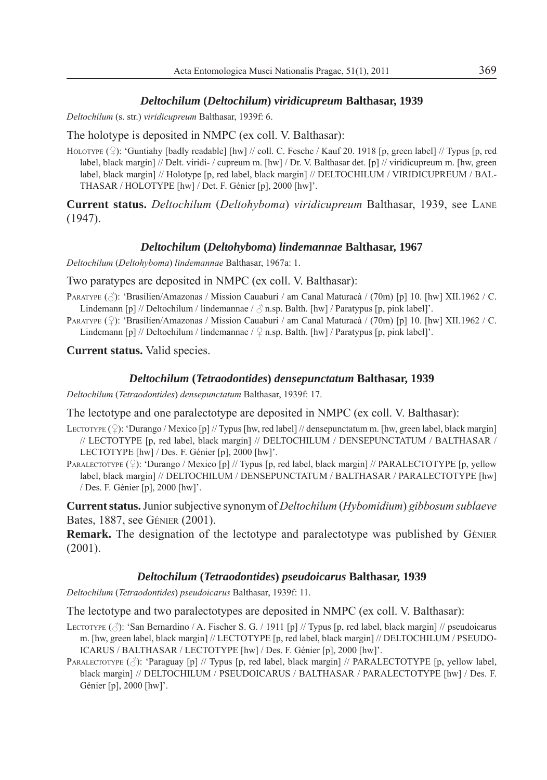## *Deltochilum* **(***Deltochilum***)** *viridicupreum* **Balthasar, 1939**

*Deltochilum* (s. str.) *viridicupreum* Balthasar, 1939f: 6.

The holotype is deposited in NMPC (ex coll. V. Balthasar):

HOLOTYPE  $(\hat{\varphi})$ : 'Guntiahy [badly readable] [hw] // coll. C. Fesche / Kauf 20. 1918 [p, green label] // Typus [p, red label, black margin] // Delt. viridi- / cupreum m. [hw] / Dr. V. Balthasar det. [p] // viridicupreum m. [hw, green label, black margin] // Holotype [p, red label, black margin] // DELTOCHILUM / VIRIDICUPREUM / BAL-THASAR / HOLOTYPE [hw] / Det. F. Génier [p], 2000 [hw]'.

**Current status.** *Deltochilum* (*Deltohyboma*) *viridicupreum* Balthasar, 1939, see LANE  $(1947)$ 

#### *Deltochilum* **(***Deltohyboma***)** *lindemannae* **Balthasar, 1967**

*Deltochilum* (*Deltohyboma*) *lindemannae* Balthasar, 1967a: 1.

Two paratypes are deposited in NMPC (ex coll. V. Balthasar):

PARATYPE ( $\triangle$ ): 'Brasilien/Amazonas / Mission Cauaburi / am Canal Maturacà / (70m) [p] 10. [hw] XII.1962 / C. Lindemann [p] // Deltochilum / lindemannae /  $\beta$  n.sp. Balth. [hw] / Paratypus [p, pink label]'.

PARATYPE  $(2)$ : 'Brasilien/Amazonas / Mission Cauaburi / am Canal Maturacà / (70m) [p] 10. [hw] XII.1962 / C. Lindemann [p] // Deltochilum / lindemannae /  $\frac{1}{2}$  n.sp. Balth. [hw] / Paratypus [p, pink label]'.

**Current status.** Valid species.

#### *Deltochilum* **(***Tetraodontides***)** *densepunctatum* **Balthasar, 1939**

*Deltochilum* (*Tetraodontides*) *densepunctatum* Balthasar, 1939f: 17.

The lectotype and one paralectotype are deposited in NMPC (ex coll. V. Balthasar):

- LECTOTYPE  $(\mathcal{Q})$ : 'Durango / Mexico [p] // Typus [hw, red label] // densepunctatum m. [hw, green label, black margin] // LECTOTYPE [p, red label, black margin] // DELTOCHILUM / DENSEPUNCTATUM / BALTHASAR / LECTOTYPE [hw] / Des. F. Génier [p], 2000 [hw]'.
- PARALECTOTYPE  $(\circ)$ : 'Durango / Mexico [p] // Typus [p, red label, black margin] // PARALECTOTYPE [p, yellow] label, black margin] // DELTOCHILUM / DENSEPUNCTATUM / BALTHASAR / PARALECTOTYPE [hw] / Des. F. Génier [p], 2000 [hw]'.

**Current status.** Junior subjective synonym of *Deltochilum* (*Hybomidium*) *gibbosum sublaeve* Bates, 1887, see GÉNIER (2001).

**Remark.** The designation of the lectotype and paralectotype was published by GÉNIER (2001).

#### *Deltochilum* **(***Tetraodontides***)** *pseudoicarus* **Balthasar, 1939**

*Deltochilum* (*Tetraodontides*) *pseudoicarus* Balthasar, 1939f: 11.

The lectotype and two paralectotypes are deposited in NMPC (ex coll. V. Balthasar):

- LECTOTYPE  $(\vec{\zeta})$ : 'San Bernardino / A. Fischer S. G. / 1911 [p] // Typus [p, red label, black margin] // pseudoicarus m. [hw, green label, black margin] // LECTOTYPE [p, red label, black margin] // DELTOCHILUM / PSEUDO-ICARUS / BALTHASAR / LECTOTYPE [hw] / Des. F. Génier [p], 2000 [hw]'.
- PARALECTOTYPE ( $\Diamond$ ): 'Paraguay [p] // Typus [p, red label, black margin] // PARALECTOTYPE [p, yellow label, black margin] // DELTOCHILUM / PSEUDOICARUS / BALTHASAR / PARALECTOTYPE [hw] / Des. F. Génier [p], 2000 [hw]'.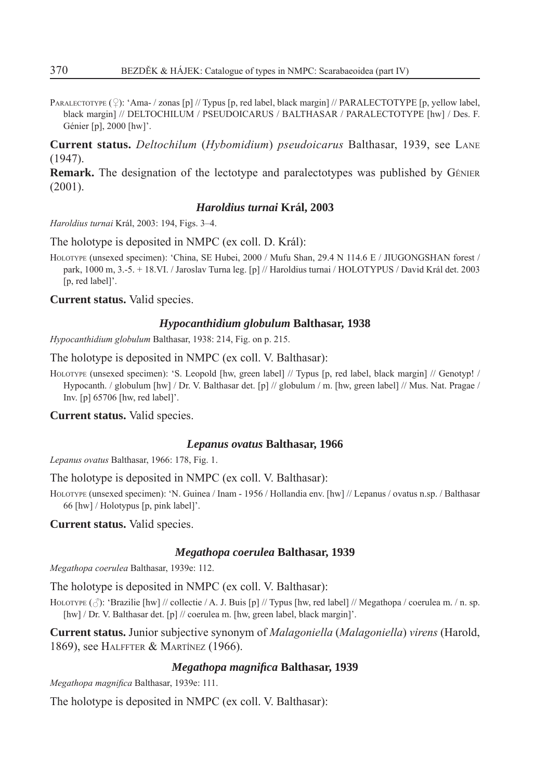PARALECTOTYPE  $(\mathcal{Q})$ : 'Ama- / zonas [p] // Typus [p, red label, black margin] // PARALECTOTYPE [p, yellow label, black margin] // DELTOCHILUM / PSEUDOICARUS / BALTHASAR / PARALECTOTYPE [hw] / Des. F. Génier [p], 2000 [hw]'.

**Current status.** *Deltochilum* (*Hybomidium*) *pseudoicarus* Balthasar, 1939, see LANE (1947).

**Remark.** The designation of the lectotype and paralectotypes was published by GÉNIER  $(2001)$ 

# *Haroldius turnai* **Král, 2003**

*Haroldius turnai* Král, 2003: 194, Figs. 3–4.

The holotype is deposited in NMPC (ex coll. D. Král):

HOLOTYPE (unsexed specimen): 'China, SE Hubei, 2000 / Mufu Shan, 29.4 N 114.6 E / JIUGONGSHAN forest / park, 1000 m, 3.-5. + 18.VI. / Jaroslav Turna leg. [p] // Haroldius turnai / HOLOTYPUS / David Král det. 2003 [p, red label]'.

**Current status.** Valid species.

# *Hypocanthidium globulum* **Balthasar, 1938**

*Hypocanthidium globulum* Balthasar, 1938: 214, Fig. on p. 215.

The holotype is deposited in NMPC (ex coll. V. Balthasar):

HOLOTYPE (unsexed specimen): 'S. Leopold [hw, green label] // Typus [p, red label, black margin] // Genotyp! / Hypocanth. / globulum [hw] / Dr. V. Balthasar det. [p] // globulum / m. [hw, green label] // Mus. Nat. Pragae / Inv. [p] 65706 [hw, red label]'.

**Current status.** Valid species.

# *Lepanus ovatus* **Balthasar, 1966**

*Lepanus ovatus* Balthasar, 1966: 178, Fig. 1.

The holotype is deposited in NMPC (ex coll. V. Balthasar):

HOLOTYPE (unsexed specimen): 'N. Guinea / Inam - 1956 / Hollandia env. [hw] // Lepanus / ovatus n.sp. / Balthasar 66 [hw] / Holotypus [p, pink label]'.

**Current status.** Valid species.

# *Megathopa coerulea* **Balthasar, 1939**

*Megathopa coerulea* Balthasar, 1939e: 112.

The holotype is deposited in NMPC (ex coll. V. Balthasar):

HOLOTYPE  $(\text{def})$ : 'Brazilie [hw] // collectie / A. J. Buis [p] // Typus [hw, red label] // Megathopa / coerulea m. / n. sp. [hw] / Dr. V. Balthasar det. [p] // coerulea m. [hw, green label, black margin]'.

**Current status.** Junior subjective synonym of *Malagoniella* (*Malagoniella*) *virens* (Harold, 1869), see HALFFTER & MARTÍNEZ (1966).

# *Megathopa magnifi ca* **Balthasar, 1939**

*Megathopa magnifica Balthasar, 1939e: 111.* 

The holotype is deposited in NMPC (ex coll. V. Balthasar):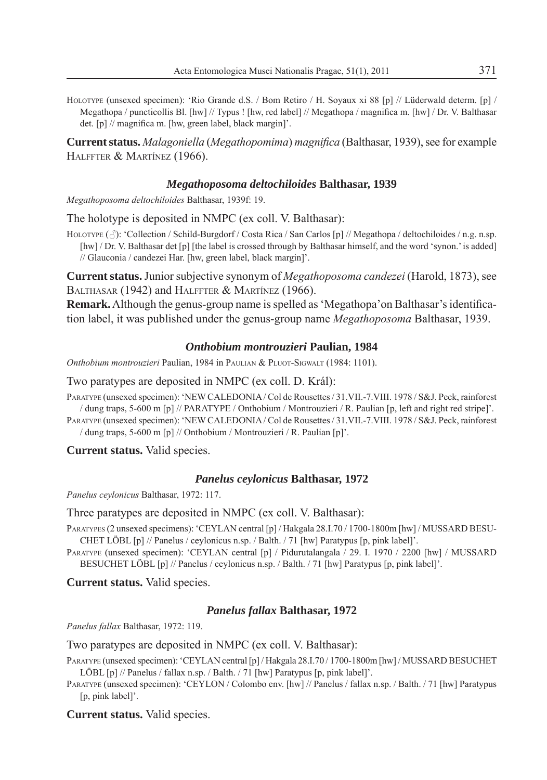HOLOTYPE (unsexed specimen): 'Rio Grande d.S. / Bom Retiro / H. Soyaux xi 88 [p] // Lüderwald determ. [p] / Megathopa / puncticollis Bl. [hw] // Typus ! [hw, red label] // Megathopa / magnifica m. [hw] / Dr. V. Balthasar det. [p] // magnifica m. [hw, green label, black margin]'.

**Current status.** *Malagoniella* (*Megathopomima*) *magnifi ca* (Balthasar, 1939), see for example HALFFTER & MARTÍNEZ (1966).

# *Megathoposoma deltochiloides* **Balthasar, 1939**

*Megathoposoma deltochiloides* Balthasar, 1939f: 19.

The holotype is deposited in NMPC (ex coll. V. Balthasar):

HOLOTYPE  $(\triangle)$ : 'Collection / Schild-Burgdorf / Costa Rica / San Carlos [p] // Megathopa / deltochiloides / n.g. n.sp. [hw] / Dr. V. Balthasar det [p] [the label is crossed through by Balthasar himself, and the word 'synon.' is added] // Glauconia / candezei Har. [hw, green label, black margin]'.

**Current status.** Junior subjective synonym of *Megathoposoma candezei* (Harold, 1873), see BALTHASAR (1942) and HALFFTER & MARTÍNEZ (1966).

**Remark.** Although the genus-group name is spelled as 'Megathopa'on Balthasar's identification label, it was published under the genus-group name *Megathoposoma* Balthasar, 1939.

# *Onthobium montrouzieri* **Paulian, 1984**

*Onthobium montrouzieri* Paulian, 1984 in PAULIAN & PLUOT-SIGWALT (1984: 1101).

Two paratypes are deposited in NMPC (ex coll. D. Král):

PARATYPE (unsexed specimen): 'NEW CALEDONIA / Col de Rousettes / 31.VII.-7.VIII. 1978 / S&J. Peck, rainforest / dung traps, 5-600 m [p] // PARATYPE / Onthobium / Montrouzieri / R. Paulian [p, left and right red stripe]'.

PARATYPE (unsexed specimen): 'NEW CALEDONIA / Col de Rousettes / 31.VII.-7.VIII. 1978 / S&J. Peck, rainforest / dung traps, 5-600 m [p] // Onthobium / Montrouzieri / R. Paulian [p]'.

**Current status.** Valid species.

# *Panelus ceylonicus* **Balthasar, 1972**

*Panelus ceylonicus* Balthasar, 1972: 117.

Three paratypes are deposited in NMPC (ex coll. V. Balthasar):

- PARATYPES (2 unsexed specimens): 'CEYLAN central [p] / Hakgala 28.I.70 / 1700-1800m [hw] / MUSSARD BESU-CHET LÖBL [p] // Panelus / ceylonicus n.sp. / Balth. / 71 [hw] Paratypus [p, pink label]'.
- PARATYPE (unsexed specimen): 'CEYLAN central [p] / Pidurutalangala / 29. I. 1970 / 2200 [hw] / MUSSARD BESUCHET LÖBL [p] // Panelus / ceylonicus n.sp. / Balth. / 71 [hw] Paratypus [p, pink label]'.

**Current status.** Valid species.

# *Panelus fallax* **Balthasar, 1972**

*Panelus fallax* Balthasar, 1972: 119.

Two paratypes are deposited in NMPC (ex coll. V. Balthasar):

- PARATYPE (unsexed specimen): 'CEYLAN central [p] / Hakgala 28.I.70 / 1700-1800m [hw] / MUSSARD BESUCHET LÖBL [p] // Panelus / fallax n.sp. / Balth. / 71 [hw] Paratypus [p, pink label]'.
- PARATYPE (unsexed specimen): 'CEYLON / Colombo env. [hw] // Panelus / fallax n.sp. / Balth. / 71 [hw] Paratypus [p, pink label]'.

**Current status.** Valid species.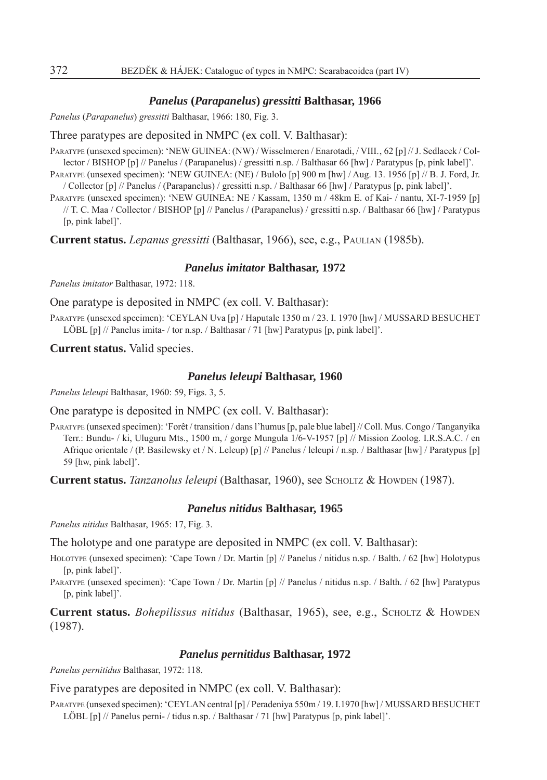## *Panelus* **(***Parapanelus***)** *gressitti* **Balthasar, 1966**

*Panelus* (*Parapanelus*) *gressitti* Balthasar, 1966: 180, Fig. 3.

# Three paratypes are deposited in NMPC (ex coll. V. Balthasar):

PARATYPE (unsexed specimen): 'NEW GUINEA: (NW) / Wisselmeren / Enarotadi, / VIII., 62 [p] // J. Sedlacek / Collector / BISHOP [p] // Panelus / (Parapanelus) / gressitti n.sp. / Balthasar 66 [hw] / Paratypus [p, pink label]'.

PARATYPE (unsexed specimen): 'NEW GUINEA: (NE) / Bulolo [p] 900 m [hw] / Aug. 13. 1956 [p] // B. J. Ford, Jr. / Collector [p] // Panelus / (Parapanelus) / gressitti n.sp. / Balthasar 66 [hw] / Paratypus [p, pink label]'.

PARATYPE (unsexed specimen): 'NEW GUINEA: NE / Kassam, 1350 m / 48km E. of Kai- / nantu, XI-7-1959 [p] // T. C. Maa / Collector / BISHOP [p] // Panelus / (Parapanelus) / gressitti n.sp. / Balthasar 66 [hw] / Paratypus [p, pink label]'.

**Current status.** *Lepanus gressitti* (Balthasar, 1966), see, e.g., PAULIAN (1985b).

#### *Panelus imitator* **Balthasar, 1972**

*Panelus imitator* Balthasar, 1972: 118.

One paratype is deposited in NMPC (ex coll. V. Balthasar):

PARATYPE (unsexed specimen): 'CEYLAN Uva [p] / Haputale 1350 m / 23. I. 1970 [hw] / MUSSARD BESUCHET LÖBL [p] // Panelus imita- / tor n.sp. / Balthasar / 71 [hw] Paratypus [p, pink label]'.

**Current status.** Valid species.

#### *Panelus leleupi* **Balthasar, 1960**

*Panelus leleupi* Balthasar, 1960: 59, Figs. 3, 5.

One paratype is deposited in NMPC (ex coll. V. Balthasar):

PARATYPE (unsexed specimen): 'Forêt / transition / dans l'humus [p, pale blue label] // Coll. Mus. Congo / Tanganyika Terr.: Bundu- / ki, Uluguru Mts., 1500 m, / gorge Mungula 1/6-V-1957 [p] // Mission Zoolog. I.R.S.A.C. / en Afrique orientale / (P. Basilewsky et / N. Leleup) [p] // Panelus / leleupi / n.sp. / Balthasar [hw] / Paratypus [p] 59 [hw, pink label]'.

**Current status.** *Tanzanolus leleupi* (Balthasar, 1960), see SCHOLTZ & HOWDEN (1987).

# *Panelus nitidus* **Balthasar, 1965**

*Panelus nitidus* Balthasar, 1965: 17, Fig. 3.

The holotype and one paratype are deposited in NMPC (ex coll. V. Balthasar):

HOLOTYPE (unsexed specimen): 'Cape Town / Dr. Martin [p] // Panelus / nitidus n.sp. / Balth. / 62 [hw] Holotypus [p, pink label]'.

PARATYPE (unsexed specimen): 'Cape Town / Dr. Martin [p] // Panelus / nitidus n.sp. / Balth. / 62 [hw] Paratypus [p, pink label]'.

**Current status.** *Bohepilissus nitidus* (Balthasar, 1965), see, e.g., SCHOLTZ & HOWDEN (1987).

#### *Panelus pernitidus* **Balthasar, 1972**

*Panelus pernitidus* Balthasar, 1972: 118.

Five paratypes are deposited in NMPC (ex coll. V. Balthasar):

PARATYPE (unsexed specimen): 'CEYLAN central [p] / Peradeniya 550m / 19. I.1970 [hw] / MUSSARD BESUCHET LÖBL [p] // Panelus perni- / tidus n.sp. / Balthasar / 71 [hw] Paratypus [p, pink label]'.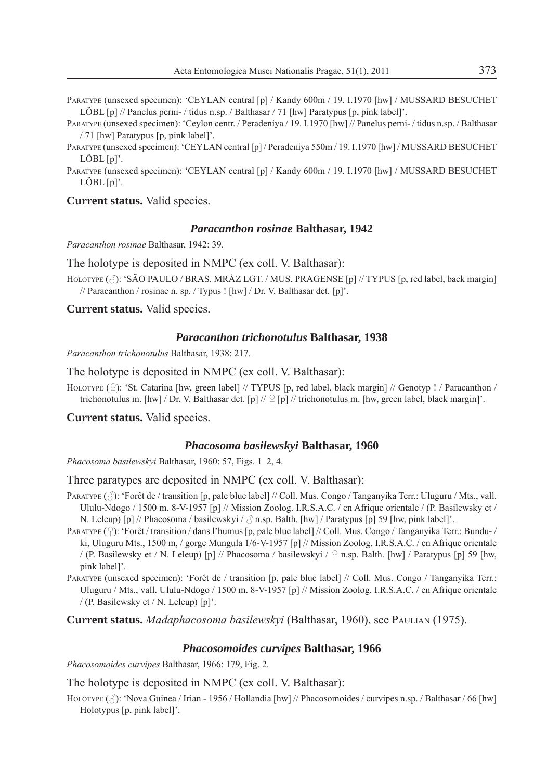- PARATYPE (unsexed specimen): 'CEYLAN central [p] / Kandy 600m / 19. I.1970 [hw] / MUSSARD BESUCHET LÖBL [p] // Panelus perni- / tidus n.sp. / Balthasar / 71 [hw] Paratypus [p, pink label]'.
- PARATYPE (unsexed specimen): 'Ceylon centr. / Peradeniya / 19. I.1970 [hw] // Panelus perni- / tidus n.sp. / Balthasar / 71 [hw] Paratypus [p, pink label]'.
- PARATYPE (unsexed specimen): 'CEYLAN central [p] / Peradeniya 550m / 19. I.1970 [hw] / MUSSARD BESUCHET LÖBL [p]'.
- PARATYPE (unsexed specimen): 'CEYLAN central [p] / Kandy 600m / 19. I.1970 [hw] / MUSSARD BESUCHET  $LÖBL$   $[n]'$ .

**Current status.** Valid species.

#### *Paracanthon rosinae* **Balthasar, 1942**

*Paracanthon rosinae* Balthasar, 1942: 39.

The holotype is deposited in NMPC (ex coll. V. Balthasar):

HOLOTYPE ( $\Diamond$ ): 'SÃO PAULO / BRAS. MRÁZ LGT. / MUS. PRAGENSE [p] // TYPUS [p, red label, back margin] // Paracanthon / rosinae n. sp. / Typus ! [hw] / Dr. V. Balthasar det. [p]'.

**Current status.** Valid species.

#### *Paracanthon trichonotulus* **Balthasar, 1938**

*Paracanthon trichonotulus* Balthasar, 1938: 217.

The holotype is deposited in NMPC (ex coll. V. Balthasar):

HOLOTYPE  $(\mathcal{Q})$ : 'St. Catarina [hw, green label] // TYPUS [p, red label, black margin] // Genotyp ! / Paracanthon / trichonotulus m. [hw] / Dr. V. Balthasar det. [p] //  $\mathcal{Q}$  [p] // trichonotulus m. [hw, green label, black margin]'.

**Current status.** Valid species.

# *Phacosoma basilewskyi* **Balthasar, 1960**

*Phacosoma basilewskyi* Balthasar, 1960: 57, Figs. 1–2, 4.

Three paratypes are deposited in NMPC (ex coll. V. Balthasar):

- PARATYPE  $(\hat{\beta})$ : 'Forêt de / transition [p, pale blue label] // Coll. Mus. Congo / Tanganyika Terr.: Uluguru / Mts., vall. Ululu-Ndogo / 1500 m. 8-V-1957 [p] // Mission Zoolog. I.R.S.A.C. / en Afrique orientale / (P. Basilewsky et / N. Leleup) [p] // Phacosoma / basilewskyi /  $\beta$  n.sp. Balth. [hw] / Paratypus [p] 59 [hw, pink label]'.
- PARATYPE  $(2)$ : 'Forêt / transition / dans l'humus [p, pale blue label] // Coll. Mus. Congo / Tanganyika Terr.: Bundu- / ki, Uluguru Mts., 1500 m, / gorge Mungula 1/6-V-1957 [p] // Mission Zoolog. I.R.S.A.C. / en Afrique orientale / (P. Basilewsky et / N. Leleup) [p] // Phacosoma / basilewskyi /  $\Omega$  n.sp. Balth. [hw] / Paratypus [p] 59 [hw, pink label]'.

PARATYPE (unsexed specimen): 'Forêt de / transition [p, pale blue label] // Coll. Mus. Congo / Tanganyika Terr.: Uluguru / Mts., vall. Ululu-Ndogo / 1500 m. 8-V-1957 [p] // Mission Zoolog. I.R.S.A.C. / en Afrique orientale / (P. Basilewsky et / N. Leleup) [p]'.

**Current status.** *Madaphacosoma basilewskyi* (Balthasar, 1960), see PAULIAN (1975).

# *Phacosomoides curvipes* **Balthasar, 1966**

*Phacosomoides curvipes* Balthasar, 1966: 179, Fig. 2.

The holotype is deposited in NMPC (ex coll. V. Balthasar):

HOLOTYPE ( $\Diamond$ ): 'Nova Guinea / Irian - 1956 / Hollandia [hw] // Phacosomoides / curvipes n.sp. / Balthasar / 66 [hw] Holotypus [p, pink label]'.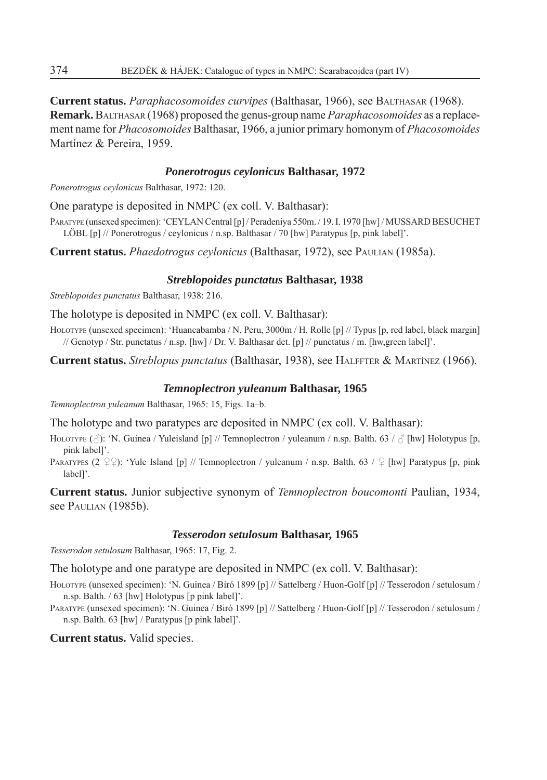**Current status.** *Paraphacosomoides curvipes* (Balthasar, 1966), see BALTHASAR (1968). **Remark.** BALTHASAR (1968) proposed the genus-group name *Paraphacosomoides* as a replacement name for *Phacosomoides* Balthasar, 1966, a junior primary homonym of *Phacosomoides*  Martínez & Pereira, 1959.

# *Ponerotrogus ceylonicus* **Balthasar, 1972**

*Ponerotrogus ceylonicus* Balthasar, 1972: 120.

One paratype is deposited in NMPC (ex coll. V. Balthasar):

PARATYPE (unsexed specimen): 'CEYLAN Central [p] / Peradeniya 550m. / 19. I. 1970 [hw] / MUSSARD BESUCHET LÖBL [p] // Ponerotrogus / ceylonicus / n.sp. Balthasar / 70 [hw] Paratypus [p, pink label]'.

**Current status.** *Phaedotrogus ceylonicus* (Balthasar, 1972), see PAULIAN (1985a).

# *Streblopoides punctatus* **Balthasar, 1938**

*Streblopoides punctatus* Balthasar, 1938: 216.

The holotype is deposited in NMPC (ex coll. V. Balthasar):

HOLOTYPE (unsexed specimen): 'Huancabamba / N. Peru, 3000m / H. Rolle [p] // Typus [p, red label, black margin] // Genotyp / Str. punctatus / n.sp. [hw] / Dr. V. Balthasar det. [p] // punctatus / m. [hw,green label]'.

**Current status.** *Streblopus punctatus* (Balthasar, 1938), see HALFFTER & MARTÍNEZ (1966).

# *Temnoplectron yuleanum* **Balthasar, 1965**

*Temnoplectron yuleanum* Balthasar, 1965: 15, Figs. 1a–b.

The holotype and two paratypes are deposited in NMPC (ex coll. V. Balthasar):

HOLOTYPE ( $\Diamond$ ): 'N. Guinea / Yuleisland [p] // Temnoplectron / yuleanum / n.sp. Balth. 63 /  $\Diamond$  [hw] Holotypus [p, pink label]'.

PARATYPES (2  $\varphi$ ): 'Yule Island [p] // Temnoplectron / yuleanum / n.sp. Balth. 63 /  $\varphi$  [hw] Paratypus [p, pink label]'.

**Current status.** Junior subjective synonym of *Temnoplectron boucomonti* Paulian, 1934, see PAULIAN (1985b).

# *Tesserodon setulosum* **Balthasar, 1965**

*Tesserodon setulosum* Balthasar, 1965: 17, Fig. 2.

The holotype and one paratype are deposited in NMPC (ex coll. V. Balthasar):

HOLOTYPE (unsexed specimen): 'N. Guinea / Biró 1899 [p] // Sattelberg / Huon-Golf [p] // Tesserodon / setulosum / n.sp. Balth. / 63 [hw] Holotypus [p pink label]'.

PARATYPE (unsexed specimen): 'N. Guinea / Biró 1899 [p] // Sattelberg / Huon-Golf [p] // Tesserodon / setulosum / n.sp. Balth. 63 [hw] / Paratypus [p pink label]'.

**Current status.** Valid species.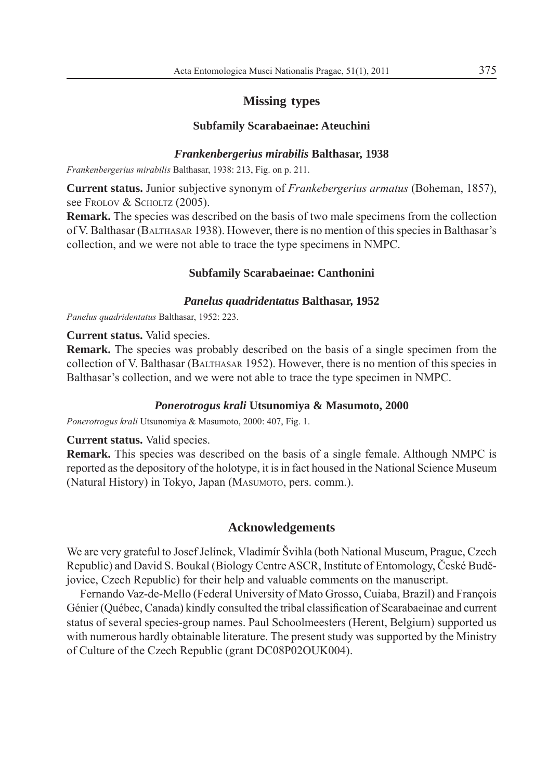# **Missing types**

# **Subfamily Scarabaeinae: Ateuchini**

# *Frankenbergerius mirabilis* **Balthasar, 1938**

*Frankenbergerius mirabilis* Balthasar, 1938: 213, Fig. on p. 211.

**Current status.** Junior subjective synonym of *Frankebergerius armatus* (Boheman, 1857), see Frolov & SCHOLTZ (2005).

**Remark.** The species was described on the basis of two male specimens from the collection of V. Balthasar (BALTHASAR 1938). However, there is no mention of this species in Balthasar's collection, and we were not able to trace the type specimens in NMPC.

## **Subfamily Scarabaeinae: Canthonini**

#### *Panelus quadridentatus* **Balthasar, 1952**

*Panelus quadridentatus* Balthasar, 1952: 223.

**Current status.** Valid species.

**Remark.** The species was probably described on the basis of a single specimen from the collection of V. Balthasar (BALTHASAR 1952). However, there is no mention of this species in Balthasar's collection, and we were not able to trace the type specimen in NMPC.

## *Ponerotrogus krali* **Utsunomiya & Masumoto, 2000**

*Ponerotrogus krali* Utsunomiya & Masumoto, 2000: 407, Fig. 1.

**Current status.** Valid species.

**Remark.** This species was described on the basis of a single female. Although NMPC is reported as the depository of the holotype, it is in fact housed in the National Science Museum (Natural History) in Tokyo, Japan (MASUMOTO, pers. comm.).

# **Acknowledgements**

We are very grateful to Josef Jelínek, Vladimír Švihla (both National Museum, Prague, Czech Republic) and David S. Boukal (Biology Centre ASCR, Institute of Entomology, České Budějovice, Czech Republic) for their help and valuable comments on the manuscript.

Fernando Vaz-de-Mello (Federal University of Mato Grosso, Cuiaba, Brazil) and François Génier (Québec, Canada) kindly consulted the tribal classification of Scarabaeinae and current status of several species-group names. Paul Schoolmeesters (Herent, Belgium) supported us with numerous hardly obtainable literature. The present study was supported by the Ministry of Culture of the Czech Republic (grant DC08P02OUK004).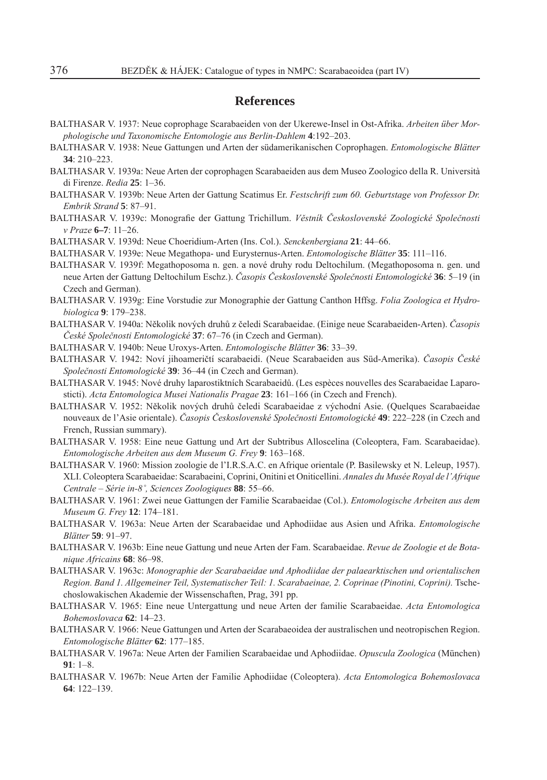# **References**

- BALTHASAR V. 1937: Neue coprophage Scarabaeiden von der Ukerewe-Insel in Ost-Afrika. *Arbeiten über Morphologische und Taxonomische Entomologie aus Berlin-Dahlem* **4**:192–203.
- BALTHASAR V. 1938: Neue Gattungen und Arten der südamerikanischen Coprophagen. *Entomologische Blätter* **34**: 210–223.
- BALTHASAR V. 1939a: Neue Arten der coprophagen Scarabaeiden aus dem Museo Zoologico della R. Università di Firenze. *Redia* **25**: 1–36.
- BALTHASAR V. 1939b: Neue Arten der Gattung Scatimus Er. *Festschrift zum 60. Geburtstage von Professor Dr. Embrik Strand* **5**: 87–91.
- BALTHASAR V. 1939c: Monografi e der Gattung Trichillum. *Věstník Československé Zoologické Společnosti v Praze* **6–7**: 11–26.
- BALTHASAR V. 1939d: Neue Choeridium-Arten (Ins. Col.). *Senckenbergiana* **21**: 44–66.
- BALTHASAR V. 1939e: Neue Megathopa- und Eurysternus-Arten. *Entomologische Blätter* **35**: 111–116.
- BALTHASAR V. 1939f: Megathoposoma n. gen. a nové druhy rodu Deltochilum. (Megathoposoma n. gen. und neue Arten der Gattung Deltochilum Eschz.). *Časopis Československé Společnosti Entomologické* **36**: 5–19 (in Czech and German).
- BALTHASAR V. 1939g: Eine Vorstudie zur Monographie der Gattung Canthon Hffsg. *Folia Zoologica et Hydrobiologica* **9**: 179–238.
- BALTHASAR V. 1940a: Několik nových druhů z čeledi Scarabaeidae. (Einige neue Scarabaeiden-Arten). *Časopis České Společnosti Entomologické* **37**: 67–76 (in Czech and German).
- BALTHASAR V. 1940b: Neue Uroxys-Arten. *Entomologische Blätter* **36**: 33–39.
- BALTHASAR V. 1942: Noví jihoameričtí scarabaeidi. (Neue Scarabaeiden aus Süd-Amerika). *Časopis České Společnosti Entomologické* **39**: 36–44 (in Czech and German).
- BALTHASAR V. 1945: Nové druhy laparostiktních Scarabaeidů. (Les espèces nouvelles des Scarabaeidae Laparosticti). *Acta Entomologica Musei Nationalis Pragae* **23**: 161–166 (in Czech and French).
- BALTHASAR V. 1952: Několik nových druhů čeledi Scarabaeidae z východní Asie. (Quelques Scarabaeidae nouveaux de l'Asie orientale). *Časopis Československé Společnosti Entomologické* **49**: 222–228 (in Czech and French, Russian summary).
- BALTHASAR V. 1958: Eine neue Gattung und Art der Subtribus Alloscelina (Coleoptera, Fam. Scarabaeidae). *Entomologische Arbeiten aus dem Museum G. Frey* **9**: 163–168.
- BALTHASAR V. 1960: Mission zoologie de l'I.R.S.A.C. en Afrique orientale (P. Basilewsky et N. Leleup, 1957). XLI. Coleoptera Scarabaeidae: Scarabaeini, Coprini, Onitini et Oniticellini. *Annales du Musée Royal de l'Afrique Centrale – Série in-8˚, Sciences Zoologiques* **88**: 55–66.
- BALTHASAR V. 1961: Zwei neue Gattungen der Familie Scarabaeidae (Col.). *Entomologische Arbeiten aus dem Museum G. Frey* **12**: 174–181.
- BALTHASAR V. 1963a: Neue Arten der Scarabaeidae und Aphodiidae aus Asien und Afrika. *Entomologische Blätter* **59**: 91–97.
- BALTHASAR V. 1963b: Eine neue Gattung und neue Arten der Fam. Scarabaeidae. *Revue de Zoologie et de Botanique Africains* **68**: 86–98.
- BALTHASAR V. 1963c: *Monographie der Scarabaeidae und Aphodiidae der palaearktischen und orientalischen Region. Band 1. Allgemeiner Teil, Systematischer Teil: 1. Scarabaeinae, 2. Coprinae (Pinotini, Coprini).* Tschechoslowakischen Akademie der Wissenschaften, Prag, 391 pp.
- BALTHASAR V. 1965: Eine neue Untergattung und neue Arten der familie Scarabaeidae. *Acta Entomologica Bohemoslovaca* **62**: 14–23.
- BALTHASAR V. 1966: Neue Gattungen und Arten der Scarabaeoidea der australischen und neotropischen Region. *Entomologische Blätter* **62**: 177–185.
- BALTHASAR V. 1967a: Neue Arten der Familien Scarabaeidae und Aphodiidae. *Opuscula Zoologica* (München) **91**: 1–8.
- BALTHASAR V. 1967b: Neue Arten der Familie Aphodiidae (Coleoptera). *Acta Entomologica Bohemoslovaca* **64**: 122–139.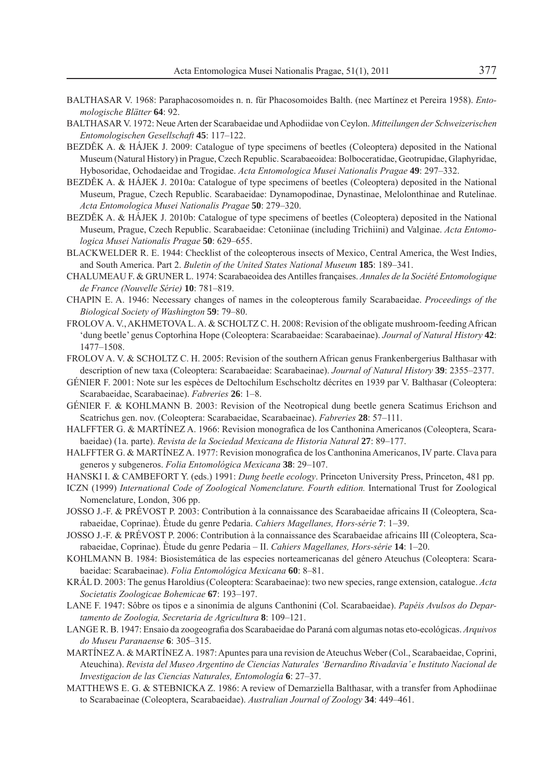- BALTHASAR V. 1968: Paraphacosomoides n. n. für Phacosomoides Balth. (nec Martínez et Pereira 1958). *Entomologische Blätter* **64**: 92.
- BALTHASAR V. 1972: Neue Arten der Scarabaeidae und Aphodiidae von Ceylon. *Mitteilungen der Schweizerischen Entomologischen Gesellschaft* **45**: 117–122.
- BEZDĚK A. & HÁJEK J. 2009: Catalogue of type specimens of beetles (Coleoptera) deposited in the National Museum (Natural History) in Prague, Czech Republic. Scarabaeoidea: Bolboceratidae, Geotrupidae, Glaphyridae, Hybosoridae, Ochodaeidae and Trogidae. *Acta Entomologica Musei Nationalis Pragae* **49**: 297–332.
- BEZDĚK A. & HÁJEK J. 2010a: Catalogue of type specimens of beetles (Coleoptera) deposited in the National Museum, Prague, Czech Republic. Scarabaeidae: Dynamopodinae, Dynastinae, Melolonthinae and Rutelinae. *Acta Entomologica Musei Nationalis Pragae* **50**: 279–320.
- BEZDĚK A. & HÁJEK J. 2010b: Catalogue of type specimens of beetles (Coleoptera) deposited in the National Museum, Prague, Czech Republic. Scarabaeidae: Cetoniinae (including Trichiini) and Valginae. *Acta Entomologica Musei Nationalis Pragae* **50**: 629–655.
- BLACKWELDER R. E. 1944: Checklist of the coleopterous insects of Mexico, Central America, the West Indies, and South America. Part 2. *Buletin of the United States National Museum* **185**: 189–341.
- CHALUMEAU F. & GRUNER L. 1974: Scarabaeoidea des Antilles françaises. *Annales de la Société Entomologique de France (Nouvelle Série)* **10**: 781–819.
- CHAPIN E. A. 1946: Necessary changes of names in the coleopterous family Scarabaeidae. *Proceedings of the Biological Society of Washington* **59**: 79–80.
- FROLOV A. V., AKHMETOVA L. A. & SCHOLTZ C. H. 2008: Revision of the obligate mushroom-feeding African 'dung beetle' genus Coptorhina Hope (Coleoptera: Scarabaeidae: Scarabaeinae). *Journal of Natural History* **42**: 1477–1508.
- FROLOV A. V. & SCHOLTZ C. H. 2005: Revision of the southern African genus Frankenbergerius Balthasar with description of new taxa (Coleoptera: Scarabaeidae: Scarabaeinae). *Journal of Natural History* **39**: 2355–2377.
- GÉNIER F. 2001: Note sur les espèces de Deltochilum Eschscholtz décrites en 1939 par V. Balthasar (Coleoptera: Scarabaeidae, Scarabaeinae). *Fabreries* **26**: 1–8.
- GÉNIER F. & KOHLMANN B. 2003: Revision of the Neotropical dung beetle genera Scatimus Erichson and Scatrichus gen. nov. (Coleoptera: Scarabaeidae, Scarabaeinae). *Fabreries* **28**: 57–111.
- HALFFTER G. & MARTÍNEZ A. 1966: Revision monografica de los Canthonina Americanos (Coleoptera, Scarabaeidae) (1a. parte). *Revista de la Sociedad Mexicana de Historia Natural* **27**: 89–177.
- HALFFTER G. & MARTÍNEZ A. 1977: Revision monografica de los Canthonina Americanos, IV parte. Clava para generos y subgeneros. *Folia Entomológica Mexicana* **38**: 29–107.
- HANSKI I. & CAMBEFORT Y. (eds.) 1991: *Dung beetle ecology*. Princeton University Press, Princeton, 481 pp.
- ICZN (1999) *International Code of Zoological Nomenclature. Fourth edition.* International Trust for Zoological Nomenclature, London, 306 pp.
- JOSSO J.-F. & PRÉVOST P. 2003: Contribution à la connaissance des Scarabaeidae africains II (Coleoptera, Scarabaeidae, Coprinae). Ètude du genre Pedaria. *Cahiers Magellanes, Hors-série* **7**: 1–39.
- JOSSO J.-F. & PRÉVOST P. 2006: Contribution à la connaissance des Scarabaeidae africains III (Coleoptera, Scarabaeidae, Coprinae). Ètude du genre Pedaria – II. *Cahiers Magellanes, Hors-série* **14**: 1–20.
- KOHLMANN B. 1984: Biosistemática de las especies norteamericanas del género Ateuchus (Coleoptera: Scarabaeidae: Scarabaeinae). *Folia Entomológica Mexicana* **60**: 8–81.
- KRÁL D. 2003: The genus Haroldius (Coleoptera: Scarabaeinae): two new species, range extension, catalogue. *Acta Societatis Zoologicae Bohemicae* **67**: 193–197.
- LANE F. 1947: Sôbre os tipos e a sinonímia de alguns Canthonini (Col. Scarabaeidae). *Papéis Avulsos do Departamento de Zoologia, Secretaria de Agricultura* **8**: 109–121.
- LANGE R. B. 1947: Ensaio da zoogeografi a dos Scarabaeidae do Paraná com algumas notas eto-ecológicas. *Arquivos do Museu Paranaense* **6**: 305–315.
- MARTÍNEZ A. & MARTÍNEZ A. 1987: Apuntes para una revision de Ateuchus Weber (Col., Scarabaeidae, Coprini, Ateuchina). *Revista del Museo Argentino de Ciencias Naturales 'Bernardino Rivadavia' e Instituto Nacional de Investigacion de las Ciencias Naturales, Entomología* **6**: 27–37.
- MATTHEWS E. G. & STEBNICKA Z. 1986: A review of Demarziella Balthasar, with a transfer from Aphodiinae to Scarabaeinae (Coleoptera, Scarabaeidae). *Australian Journal of Zoology* **34**: 449–461.